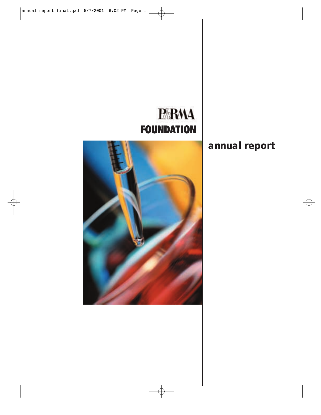# **PARMA FOUNDATION**

# **annual report**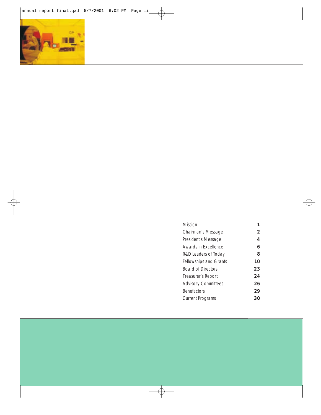

| <b>Mission</b>                |    |
|-------------------------------|----|
| Chairman's Message            | 2  |
| President's Message           | 4  |
| Awards in Excellence          | 6  |
| R&D Leaders of Today          | 8  |
| <b>Fellowships and Grants</b> | 10 |
| <b>Board of Directors</b>     | 23 |
| Treasurer's Report            | 24 |
| <b>Advisory Committees</b>    | 26 |
| <b>Benefactors</b>            | 29 |
| <b>Current Programs</b>       | 30 |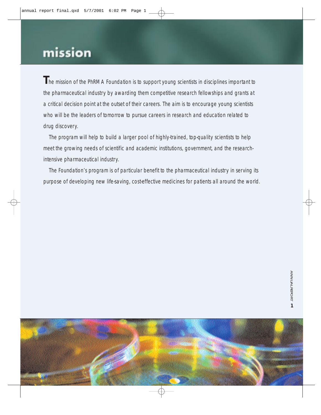# mission

**T**he mission of the PhRMA Foundation is to support young scientists in disciplines important to the pharmaceutical industry by awarding them competitive research fellowships and grants at a critical decision point at the outset of their careers. The aim is to encourage young scientists who will be the leaders of tomorrow to pursue careers in research and education related to drug discovery.

The program will help to build a larger pool of highly-trained, top-quality scientists to help meet the growing needs of scientific and academic institutions, government, and the researchintensive pharmaceutical industry.

The Foundation's program is of particular benefit to the pharmaceutical industry in serving its purpose of developing new life-saving, cost-effective medicines for patients all around the world.

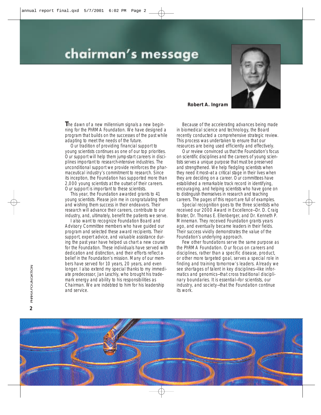# chairman's message



# **Robert A. Ingram**

**T**he dawn of a new millennium signals a new beginning for the PhRMA Foundation. We have designed a program that builds on the successes of the past while adapting to meet the needs of the future.

Our tradition of providing financial support to young scientists continues as one of our top priorities. Our support will help them jump-start careers in disciplines important to research-intensive industries. The unconditional support we provide reinforces the pharmaceutical industry's commitment to research. Since its inception, the Foundation has supported more than 2,000 young scientists at the outset of their careers. Our support is important to these scientists.

This year, the Foundation awarded grants to 41 young scientists. Please join me in congratulating them and wishing them success in their endeavors. Their research will advance their careers, contribute to our industry, and, ultimately, benefit the patients we serve.

I also want to recognize Foundation Board and Advisory Committee members who have guided our program and selected these award recipients. Their support, expert advice, and valuable assistance during the past year have helped us chart a new course for the Foundation. These individuals have served with dedication and distinction, and their efforts reflect a belief in the Foundation's mission. Many of our members have served for 10 years, 20 years, and even longer. I also extend my special thanks to my immediate predecessor, Jan Leschly, who brought his trademark energy and ability to his responsibilities as Chairman. We are indebted to him for his leadership and service.

Because of the accelerating advances being made in biomedical science and technology, the Board recently conducted a comprehensive strategic review. This process was undertaken to ensure that our resources are being used efficiently and effectively.

Our review convinced us that the Foundation's focus on scientific disciplines and the careers of young scientists serves a unique purpose that must be preserved and strengthened. We help fledgling scientists when they need it most—at a critical stage in their lives when they are deciding on a career. Our committees have established a remarkable track record in identifying, encouraging, and helping scientists who have gone on to distinguish themselves in research and teaching careers. The pages of this report are full of examples.

Special recognition goes to the three scientists who received our 2000 Award in Excellence—Dr. D. Craig Brater, Dr. Thomas E. Ellenberger, and Dr. Kenneth P. Minneman. They received Foundation grants years ago, and eventually became leaders in their fields. Their success vividly demonstrates the value of the Foundation's underlying approach.

Few other foundations serve the same purpose as the PhRMA Foundation. Our focus on careers and disciplines, rather than a specific disease, product, or other more targeted goal, serves a special role in finding and training tomorrow's leaders. Already we see shortages of talent in key disciplines—like informatics and genomics—that cross traditional disciplinary boundaries. It is essential—for scientists, our industry, and society—that the Foundation continue its work.

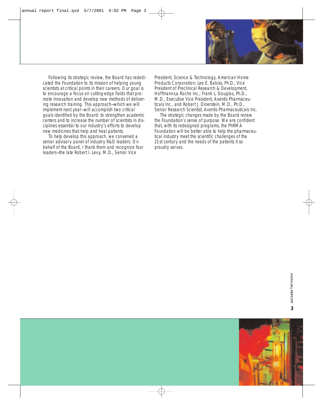

Following its strategic review, the Board has rededicated the Foundation to its mission of helping young scientists at critical points in their careers. Our goal is to encourage a focus on cutting-edge fields that promote innovation and develop new methods of delivering research training. This approach—which we will implement next year—will accomplish two critical goals identified by the Board: to strengthen academic centers and to increase the number of scientists in disciplines essential to our industry's efforts to develop new medicines that help and heal patients.

To help develop this approach, we convened a senior advisory panel of industry R&D leaders. On behalf of the Board, I thank them and recognize four leaders—the late Robert I. Levy, M.D., Senior Vice

President, Science & Technology, American Home Products Corporation; Lee E. Babiss, Ph.D., Vice President of Preclinical Research & Development, Hoffmann-La Roche Inc.; Frank L. Douglas, Ph.D., M.D., Executive Vice President, Aventis Pharmaceuticals Inc., and Robert J. Dinerstein, M.D., Ph.D., Senior Research Scientist, Aventis Pharmaceuticals Inc.

The strategic changes made by the Board renew the Foundation's sense of purpose. We are confident that, with its redesigned programs, the PhRMA Foundation will be better able to help the pharmaceutical industry meet the scientific challenges of the 21st century and the needs of the patients it so proudly serves.

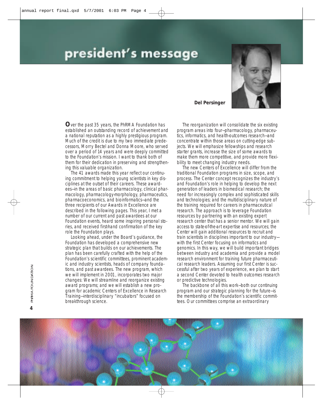# president's message



### **Del Persinger**

**O**ver the past 35 years, the PhRMA Foundation has established an outstanding record of achievement and a national reputation as a highly prestigious program. Much of the credit is due to my two immediate predecessors, Morry Bectel and Donna Moore, who served over a period of 14 years and were deeply committed to the Foundation's mission. I want to thank both of them for their dedication in preserving and strengthening this valuable organization.

The 41 awards made this year reflect our continuing commitment to helping young scientists in key disciplines at the outset of their careers. These awardees—in the areas of basic pharmacology, clinical pharmacology, pharmacology-morphology, pharmaceutics, pharmacoeconomics, and bioinformatics—and the three recipients of our Awards in Excellence are described in the following pages. This year, I met a number of our current and past awardees at our Foundation events, heard some inspiring personal stories, and received first-hand confirmation of the key role the Foundation plays.

Looking ahead, under the Board's guidance, the Foundation has developed a comprehensive new strategic plan that builds on our achievements. The plan has been carefully crafted with the help of the Foundation's scientific committees, prominent academic and industry scientists, heads of company foundations, and past awardees. The new program, which we will implement in 2001, incorporates two major changes: We will streamline and reorganize existing award programs; and we will establish a new program for academic Centers of Excellence in Research Training—interdisciplinary "incubators" focused on breakthrough science.

The reorganization will consolidate the six existing program areas into four—pharmacology, pharmaceutics, informatics, and health-outcomes research—and concentrate within those areas on cutting-edge subjects. We will emphasize fellowships and research starter grants, increase the size of some awards to make them more competitive, and provide more flexibility to meet changing industry needs.

The new Centers of Excellence will differ from the traditional Foundation programs in size, scope, and process. The Center concept recognizes the industry's and Foundation's role in helping to develop the next generation of leaders in biomedical research; the need for increasingly complex and sophisticated skills and technologies; and the multidisciplinary nature of the training required for careers in pharmaceutical research. The approach is to leverage Foundation resources by partnering with an existing expert research center that has a senior mentor. We will gain access to state-of-the-art expertise and resources; the Center will gain additional resources to recruit and train scientists in disciplines important to our industry with the first Center focusing on informatics and genomics. In this way, we will build important bridges between industry and academia and provide a model research environment for training future pharmaceutical research leaders. Assuming our first Center is successful after two years of experience, we plan to start a second Center devoted to health outcomes research or predictive technologies.

The backbone of all this work—both our continuing program and our strategic planning for the future—is the membership of the Foundation's scientific committees. Our committees comprise an extraordinary

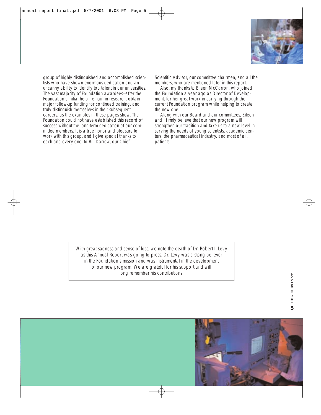

group of highly distinguished and accomplished scientists who have shown enormous dedication and an uncanny ability to identify top talent in our universities. The vast majority of Foundation awardees—after the Foundation's initial help—remain in research, obtain major follow-up funding for continued training, and truly distinguish themselves in their subsequent careers, as the examples in these pages show. The Foundation could not have established this record of success without the long-term dedication of our committee members. It is a true honor and pleasure to work with this group, and I give special thanks to each and every one: to Bill Darrow, our Chief

Scientific Advisor, our committee chairmen, and all the members, who are mentioned later in this report.

Also, my thanks to Eileen McCarron, who joined the Foundation a year ago as Director of Development, for her great work in carrying through the current Foundation program while helping to create the new one.

Along with our Board and our committees, Eileen and I firmly believe that our new program will strengthen our tradition and take us to a new level in serving the needs of young scientists, academic centers, the pharmaceutical industry, and most of all, patients.

With great sadness and sense of loss, we note the death of Dr. Robert I. Levy as this *Annual Report* was going to press. Dr. Levy was a stong believer in the Foundation's mission and was instrumental in the development of our new program. We are grateful for his support and will long remember his contributions.

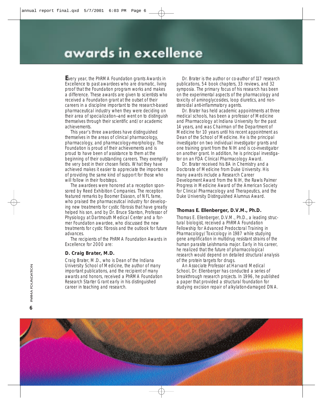# awards in excellence

**E**very year, the PhRMA Foundation grants Awards in Excellence to past awardees who are dramatic, living proof that the Foundation program works and makes a difference. These awards are given to scientists who received a Foundation grant at the outset of their careers in a discipline important to the research-based pharmaceutical industry when they were deciding on their area of specialization—and went on to distinguish themselves through their scientific and/or academic achievements.

This year's three awardees have distinguished themselves in the areas of clinical pharmacology, pharmacology, and pharmacology-morphology. The Foundation is proud of their achievements and is proud to have been of assistance to them at the beginning of their outstanding careers. They exemplify the very best in their chosen fields. What they have achieved makes it easier to appreciate the importance of providing the same kind of support for those who will follow in their footsteps.

The awardees were honored at a reception sponsored by Reed Exhibition Companies. The reception featured remarks by Boomer Esiason, of NFL fame, who praised the pharmaceutical industry for developing new treatments for cystic fibrosis that have greatly helped his son, and by Dr. Bruce Stanton, Professor of Physiology at Dartmouth Medical Center and a former Foundation awardee, who discussed the new treatments for cystic fibrosis and the outlook for future advances.

The recipients of the PhRMA Foundation Awards in Excellence for 2000 are:

# **D. Craig Brater, M.D.**

Craig Brater, M.D., who is Dean of the Indiana University School of Medicine, the author of many important publications, and the recipient of many awards and honors, received a PhRMA Foundation Research Starter Grant early in his distinguished career in teaching and research.

Dr. Brater is the author or co-author of 117 research publications, 54 book chapters, 33 reviews, and 32 symposia. The primary focus of his research has been on the experimental aspects of the pharmacology and toxicity of aminoglycosides, loop diuretics, and nonsteroidal anti-inflammatory agents.

Dr. Brater has held academic appointments at three medical schools, has been a professor of Medicine and Pharmacology at Indiana University for the past 14 years, and was Chairman of the Department of Medicine for 10 years until his recent appointment as Dean of the School of Medicine. He is the principal investigator on two individual investigator grants and one training grant from the NIH and is co-investigator on another grant. In addition, he is principal investigator on an FDA Clinical Pharmacology Award.

Dr. Brater received his BA in Chemistry and a Doctorate of Medicine from Duke University. His many awards include a Research Career Development Award from the NIH, the Rawls Palmer Progress in Medicine Award of the American Society for Clinical Pharmacology and Therapeutics, and the Duke University Distinguished Alumnus Award.

### **Thomas E. Ellenberger, D.V.M., Ph.D.**

Thomas E. Ellenberger, D.V.M., Ph.D., a leading structural biologist, received a PhRMA Foundation Fellowship for Advanced Predoctoral Training in Pharmacology/Toxicology in 1987 while studying gene amplification in multidrug resistant strains of the human parasite *Leishmania major*. Early in his career, he realized that the future of pharmacological research would depend on detailed structural analysis of the protein targets for drugs.

An Associate Professor at Harvard Medical School, Dr. Ellenberger has conducted a series of breakthrough research projects. In 1996, he published a paper that provided a structural foundation for studying excision repair of alkylation-damaged DNA.

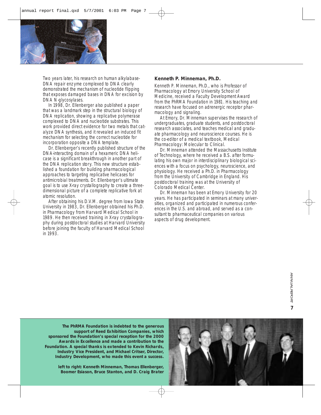

Two years later, his research on human alkylabase-DNA repair enzyme complexed to DNA clearly demonstrated the mechanism of nucleotide flipping that exposes damaged bases in DNA for excision by DNA N-glycosylases.

In 1998, Dr. Ellenberger also published a paper that was a landmark step in the structural biology of DNA replication, showing a replicative polymerase complexed to DNA and nucleotide substrates. This work provided direct evidence for two metals that catalyze DNA synthesis, and it revealed an induced fit mechanism for selecting the correct nucleotide for incorporation opposite a DNA template.

Dr. Ellenberger's recently published structure of the DNA-interacting domain of a hexameric DNA helicase is a significant breakthrough in another part of the DNA replication story. This new structure established a foundation for building pharmacological approaches to targeting replicative helicases for antimicrobial treatments. Dr. Ellenberger's ultimate goal is to use X-ray crystallography to create a threedimensional picture of a complete replicative fork at atomic resolution.

After obtaining his D.V.M. degree from Iowa State University in 1983, Dr. Ellenberger obtained his Ph.D. in Pharmacology from Harvard Medical School in 1989. He then received training in X-ray crystallography during postdoctoral studies at Harvard University before joining the faculty of Harvard Medical School in 1993.

#### **Kenneth P. Minneman, Ph.D.**

Kenneth P. Minneman, Ph.D., who is Professor of Pharmacology at Emory University School of Medicine, received a Faculty Development Award from the PhRMA Foundation in 1981. His teaching and research have focused on adrenergic receptor pharmacology and signaling.

At Emory, Dr. Minneman supervises the research of undergraduates, graduate students, and postdoctoral research associates, and teaches medical and graduate pharmacology and neuroscience courses. He is the co-editor of a medical textbook, *Medical Pharmacology: Molecular to Clinical.*

Dr. Minneman attended the Massachusetts Institute of Technology, where he received a B.S. after formulating his own major in interdisciplinary biological sciences with a focus on psychology, neuroscience, and physiology. He received a Ph.D. in Pharmacology from the University of Cambridge in England. His postdoctoral training was at the University of Colorado Medical Center.

Dr. Minneman has been at Emory University for 20 years. He has participated in seminars at many universities, organized and participated in numerous conferences in the U.S. and abroad, and served as a consultant to pharmaceutical companies on various aspects of drug development.

*The PhRMA Foundation is indebted to the generous support of Reed Exhibition Companies, which sponsored the Foundation's special reception for the 2000 Awards in Excellence and made a contribution to the Foundation. A special thanks is extended to Kevin Richards, Industry Vice President, and Michael Critser, Director, Industry Development, who made this event a success.*

> *left to right: Kenneth Minneman, Thomas Ellenberger, Boomer Esiason, Bruce Stanton, and D. Craig Brater*

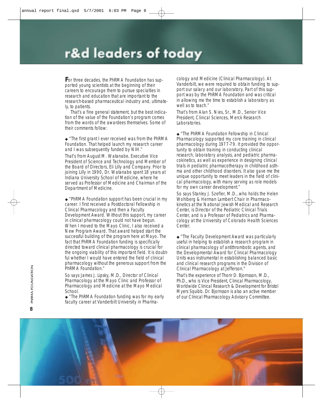# r&d leaders of today

**F**or three decades, the PhRMA Foundation has supported young scientists at the beginning of their careers to encourage them to pursue specialties in research and education that are important to the research-based pharmaceutical industry and, ultimately, to patients.

That's a fine general statement, but the best indication of the value of the Foundation's program comes from the words of the awardees themselves. Some of their comments follow:

# ◆ *"The first grant I ever received was from the PhRMA Foundation. That helped launch my research career and I was subsequently funded by NIH."*

That's from August M. Watanabe, Executive Vice President of Science and Technology and Member of the Board of Directors, Eli Lilly and Company. Prior to joining Lilly in 1990, Dr. Watanabe spent 18 years at Indiana University School of Medicine, where he served as Professor of Medicine and Chairman of the Department of Medicine.

◆ *"PhRMA Foundation support has been crucial in my career. I first received a Postdoctoral Fellowship in Clinical Pharmacology and then a Faculty Development Award. Without this support, my career in clinical pharmacology could not have begun. When I moved to the Mayo Clinic, I also received a New Program Award. That award helped start the successful building of the program here at Mayo. The fact that PhRMA Foundation funding is specifically directed toward clinical pharmacology is crucial for the ongoing viability of this important field. It is doubtful whether I would have entered the field of clinical pharmacology without the generous support from the PhRMA Foundation."* 

So says James J. Lipsky, M.D., Director of Clinical Pharmacology at the Mayo Clinic and Professor of Pharmacology and Medicine at the Mayo Medical School.

◆ *"The PhRMA Foundation funding was for my early faculty career at Vanderbilt University in Pharma-*

*cology and Medicine (Clinical Pharmacology). At Vanderbilt, we were required to obtain funding to support our salary and our laboratory. Part of this support was by the PhRMA Foundation and was critical in allowing me the time to establish a laboratory as well as to teach."* 

That's from Alan S. Nies, Sr., M.D., Senior Vice President, Clinical Sciences, Merck Research Laboratories.

◆ *"The PhRMA Foundation Fellowship in Clinical Pharmacology supported my core training in clinical pharmacology during 1977-79. It provided the opportunity to obtain training in conducting clinical research, laboratory analysis, and pediatric pharmacokinetics, as well as experience in designing clinical trials in pediatric pharmacotherapy in childhood asthma and other childhood disorders. It also gave me the unique opportunity to meet leaders in the field of clinical pharmacology, with many serving as role models for my own career development."* 

So says Stanley J. Szefler, M.D., who holds the Helen Wohlberg & Herman Lambert Chair in Pharmacokinetics at the National Jewish Medical and Research Center, is Director of the Pediatric Clinical Trials Center, and is a Professor of Pediatrics and Pharmacology at the University of Colorado Health Sciences Center.

◆ *"The Faculty Development Award was particularly useful in helping to establish a research program in clinical pharmacology of antithrombotic agents, and the Developmental Award for Clinical Pharmacology Units was instrumental in establishing balanced basic and clinical research programs in the Division of Clinical Pharmacology at Jefferson."* 

That's the experience of Thorir D. Bjornsson, M.D., Ph.D., who is Vice President, Clinical Pharmacology, Worldwide Clinical Research & Development for Bristol Myers Squibb. Dr. Bjornsson is also an active member of our Clinical Pharmacology Advisory Committee.

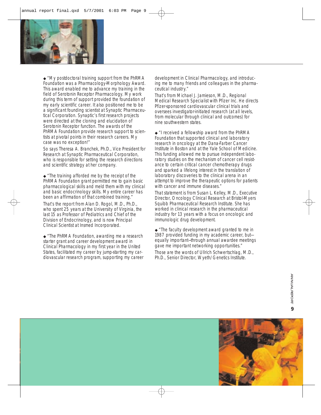

◆ *"My postdoctoral training support from the PhRMA Foundation was a Pharmacology-Morphology Award. This award enabled me to advance my training in the field of Serotonin Receptor Pharmacology. My work during this term of support provided the foundation of my early scientific career. It also positioned me to be a significant founding scientist at Synaptic Pharmaceutical Corporation. Synaptic's first research projects were directed at the cloning and elucidation of Serotonin Receptor function. The awards of the PhRMA Foundation provide research support to scientists at pivotal points in their research careers. My case was no exception!"* 

So says Theresa A. Branchek, Ph.D., Vice President for Research at Synaptic Pharmaceutical Corporation, who is responsible for setting the research directions and scientific strategy at her company.

◆ *"The training afforded me by the receipt of the PhRMA Foundation grant permitted me to gain basic pharmacological skills and meld them with my clinical and basic endocrinology skills. My entire career has been an affirmation of that combined training."*  That's the report from Alan D. Rogol, M.D., Ph.D., who spent 25 years at the University of Virginia, the last 15 as Professor of Pediatrics and Chief of the Division of Endocrinology, and is now Principal Clinical Scientist at Insmed Incorporated.

◆ *"The PhRMA Foundation, awarding me a research starter grant and career development award in Clinical Pharmacology in my first year in the United States, facilitated my career by jump-starting my cardiovascular research program, supporting my career*

*development in Clinical Pharmacology, and introducing me to many friends and colleagues in the pharmaceutical industry."* 

That's from Michael J. Jamieson, M.D., Regional Medical Research Specialist with Pfizer Inc. He directs Pfizer-sponsored cardiovascular clinical trials and oversees investigator-initiated research (at all levels, from molecular through clinical and outcomes) for nine southwestern states.

◆ *"I received a fellowship award from the PhRMA Foundation that supported clinical and laboratory research in oncology at the Dana-Farber Cancer Institute in Boston and at the Yale School of Medicine. This funding allowed me to pursue independent laboratory studies on the mechanism of cancer cell resistance to certain critical cancer chemotherapy drugs and sparked a lifelong interest in the translation of laboratory discoveries to the clinical arena in an attempt to improve the therapeutic options for patients with cancer and immune diseases."* 

That statement is from Susan L. Kelley, M.D., Executive Director, Oncology Clinical Research at Bristol-Myers Squibb Pharmaceutical Research Institute. She has worked in clinical research in the pharmaceutical industry for 13 years with a focus on oncologic and immunologic drug development.

◆ *"The faculty development award granted to me in 1987 provided funding in my academic career, but equally important—through annual awardee meetings gave me important networking opportunities."* 

Those are the words of Ullrich Schwertschlag, M.D., Ph.D., Senior Director, Wyeth/Genetics Institute.

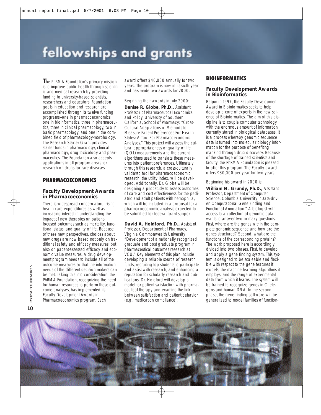# fellowships and grants

**T**he PhRMA Foundation's primary mission is to improve public health through scientific and medical research by providing funding to university-based scientists, researchers and educators. Foundation goals in education and research are accomplished through its twelve funding programs—one in pharmacoeconomics, one in bioinformatics, three in pharmaceutics, three in clinical pharmacology, two in basic pharmacology, and one in the combined field of pharmacology-morphology. The Research Starter Grant provides starter funds in pharmacology, clinical pharmacology, drug toxicology and pharmaceutics. The Foundation also accepts applications in all program areas for research on drugs for rare diseases.

# PHARMACOECONOMICS

# **Faculty Development Awards in Pharmacoeconomics**

There is widespread concern about rising health care expenditures as well as increasing interest in understanding the impact of new therapies on patientfocused outcomes such as mortality, functional status, and quality of life. Because of these new perspectives, choices about new drugs are now based not only on traditional safety and efficacy measures, but also on patient-assessed efficacy and economic value measures. A drug development program needs to include all of the outcome measures so that the information needs of the different decision makers can be met. Taking this into consideration, the PhRMA Foundation, recognizing the need for human resources to perform these outcome analyses, has implemented its Faculty Development Awards in Pharmacoeconomics program. Each

award offers \$40,000 annually for two years. The program is now in its sixth year and has made two awards for 2000.

#### *Beginning their awards in July 2000:*

**Denise R. Globe, Ph.D.,** Assistant Professor of Pharmaceutical Economics and Policy, University of Southern California, School of Pharmacy: "Cross-Cultural Adaptations of Methods to Measure Patient Preferences For Health States: A Tool For Pharmacoeconomic Analyses." This project will assess the cultural appropriateness of quality of life (QOL) measurements and the current algorithms used to translate these measures into patient preferences. Ultimately through this research, a cross-culturally validated tool for pharmacoeconomic research, the utility index, will be developed. Additionally, Dr. Globe will be designing a pilot study to assess outcomes of care and cost effectiveness for the pediatric and adult patients with hemophilia, which will be included in a proposal for a pharmacoeconomic analysis expected to be submitted for federal grant support.

**David A. Holdford, Ph.D.,** Assistant Professor, Department of Pharmacy, Virginia Commonwealth University: "Development of a nationally recognized graduate and post graduate program in pharmaceutical outcomes research at VCU." Key elements of this plan include developing a reliable source of research funds, recruiting top students to participate and assist with research, and enhancing a reputation for scholarly research and publications. Dr. Holdford will develop a model for patient satisfaction with pharmaceutical therapy and examine the link between satisfaction and patient behavior (e.g., medication compliance).

# **BIOINFORMATICS**

# **Faculty Development Awards in Bioinformatics**

Begun in 1997, the Faculty Development Award in Bioinformatics seeks to help develop a core of experts in the new science of Bioinformatics. The aim of this discipline is to couple computer technology with the enormous amount of information currently stored in biological databases. It is a process whereby genomic sequence data is turned into molecular biology information for the purpose of benefiting mankind through drug discovery. Because of the shortage of trained scientists and faculty, the PhRMA Foundation is pleased to offer this program. The Faculty award offers \$30,000 per year for two years.

#### *Beginning his award in 2000 is:*

**William N. Grundy, Ph.D.,** Assistant Professor, Department of Computer Science, Columbia University: "Data-driven Computational Gene Finding and Functional Annotation." A biologist with access to a collection of genomic data wants to answer two primary questions. First, where are the genes within the complete genomic sequence and how are the genes structured? Second, what are the functions of the corresponding proteins? The work proposed here is accordingly divided into two phases. First, to develop and apply a gene finding system. This system is designed to be scaleable and flexible with respect to the gene features it models, the machine learning algorithms it employs, and the range of experimental data from which it learns. The system will be trained to recognize genes in *C. elegans* and human DNA. In the second phase, the gene finding software will be generalized to model families of function-

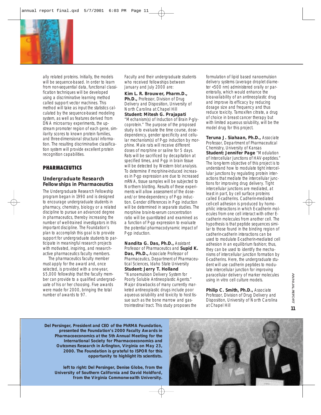

ally related proteins. Initially, the models will be sequence-based. In order to learn from non-sequential data, functional classification techniques will be developed using a discriminative learning method called support vector machines. This method will take as input the statistics calculated by the sequence-based modeling system, as well as features derived from DNA microarray experiments, the upstream promoter region of each gene, similarity scores to known protein families, and three-dimensional structural information. The resulting discriminative classification system will provide excellent protein recognition capabilities.

# **PHARMACEUTICS**

# **Undergraduate Research Fellowships in Pharmaceutics**

The Undergraduate Research Fellowship program began in 1990 and is designed to encourage undergraduate students in pharmacy, chemistry, biology or a related discipline to pursue an advanced degree in pharmaceutics, thereby increasing the number of well-trained investigators in this important discipline. The Foundation's plan to accomplish this goal is to provide support for undergraduate students to participate in meaningful research projects with motivated, inspiring, and researchactive pharmaceutics faculty members.

The pharmaceutics faculty member must apply for the award and, once selected, is provided with a one-year, \$5,000 fellowship that the faculty member can provide to a qualified undergraduate of his or her choosing. Five awards were made for 2000, bringing the total number of awards to 97.

*Faculty and their undergraduate students who received fellowships between January and July 2000 are:*

**Kim L. R. Brouwer, Pharm.D., Ph.D., Professor, Division of Drug.** Delivery and Disposition, University of North Carolina at Chapel Hill **Student: Mitesh G. Prajapati** "Mechanism(s) of Induction of Brain P-glycoprotein." The purpose of the proposed study is to evaluate the time course, dosedependency, gender specificity and cellular mechanism(s) of P-gp induction by morphine. Male rats will receive different doses of morphine or saline for 5 days. Rats will be sacrificed by decapitation at specified times, and P-gp in brain tissue will be detected by Western blot analysis. To determine if morphine-induced increases in P-gp expression are due to increased mRNA, tissue samples will be subjected to Northern blotting. Results of these experiments will allow assessment of the doseand/or time-dependency of P-gp induction. Gender differences in P-gp induction will be determined in separate studies. The morphine brain-to-serum concentration ratio will be quantitated and examined as a function of P-gp expression to evaluate the potential pharmacodynamic impact of P-gp induction.

**Nandita G. Das, Ph.D.,** Assistant Professor of Pharmaceutics and **Supid K. Das, Ph.D.,** Associate Professor of Pharmaceutics, Department of Pharmaceutical Sciences, Idaho State University **Student: Jerry T. Holland** "Nanoemulsion Delivery System for Poorly Soluble Antineoplastic Agents." Major drawbacks of many currently marketed antineoplastic drugs include poor aqueous solubility and toxicity to host tissue such as the bone marrow and gastrointestinal tract. This study proposes the

formulation of lipid based nanoemulsion delivery systems (average droplet diameter <500 nm) administered orally or parenterally, which would enhance the bioavailability of an antineoplastic drug and improve its efficacy by reducing dosage size and frequency and thus reduce toxicity. Tamoxifen citrate, a drug of choice in breast cancer therapy but with limited aqueous solubility, will be the model drug for this project.

**Teruna J. Siahaan, Ph.D.,** Associate Professor, Department of Pharmaceutical Chemistry, University of Kansas **Student: Jennifer Page** "Modulation of Intercellular Junctions of HAV-peptides." The long-term objective of this project is to understand how to modulate tight intercellular junctions by regulating protein interactions that mediate the intercellular junctions for improving drug delivery. Tight intercellular junctions are mediated, at least in part, by cell surface proteins called E-cadherins. Cadherin-mediated cell-cell adhesion is produced by homophilic interactions in which E-cadherin molecules from one cell interact with other Ecadherin molecules from another cell. The hypothesis is that peptide sequences similar to those found in the binding region of cadherin-cadherin interactions can be used to modulate E-cadherin-mediated cell adhesion in an equilibrium fashion; thus, they can be used to identify the mechanisms of intercellular junction formation by E-cadherins. Here, the undergraduate student will use cadherin peptides to modulate intercellular junction for improving paracellular delivery of marker molecules using *in vitro* cell culture models.

Philip C. Smith, Ph.D., Associate Professor, Division of Drug Delivery and Disposition, University of North Carolina at Chapel Hill

*Del Persinger, President and CEO of the PhRMA Foundation, presented the Foundation's 2000 Faculty Awards in Pharmacoeconomics at the 5th Annual Meeting for the International Society for Pharmacoeconomics and Outcomes Research in Arlington, Virginia on May 23, 2000. The Foundation is grateful to ISPOR for this opportunity to highlight its scientists.*

*left to right: Del Persinger, Denise Globe, from the University of Southern California and David Holdford, from the Virginia Commonwealth University.*

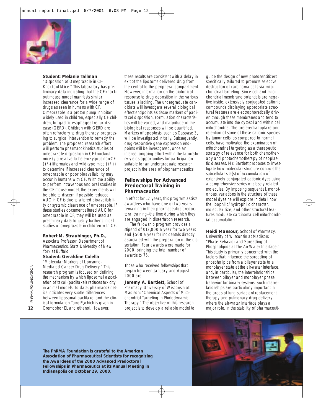

### **Student: Melanie Tallman**

"Disposition of Omeprazole in CF-Knockout Mice." This laboratory has preliminary data indicating that the CF-knockout mouse model manifests similar increased clearance for a wide range of drugs as seen in humans with CF. Omeprazole is a proton pump inhibitor widely used in children, especially CF children, for gastric esophageal reflux disease (GERD). Children with GERD are often refractory to drug therapy, progressing to surgical intervention to remedy the problem. The proposed research effort will perform pharmacokinetics studies of omeprazole disposition in CF-knockout mice (-/-) relative to heterozygous non-CF  $(+/-)$  littermates and wild-type mice  $(+/-)$ to determine if increased clearance of omeprazole or poor bioavailability may occur in humans with CF. With the ability to perform intravenous and oral studies in the CF mouse model, the experiments will be able to discern if possible reduced AUC in CF is due to altered bioavailability or systemic clearance of omeprazole. If these studies document altered AUC for omeprazole in CF, they will be used as preliminary data to justify further clinical studies of omeprazole in children with CF.

### **Robert M. Straubinger, Ph.D.,**

Associate Professor, Department of Pharmaceutics, State University of New York at Buffalo

#### **Student: Geraldine Colella**

"Molecular Markers of Liposome-Mediated Cancer Drug Delivery." This research program is focused on defining the mechanism by which liposomal association of taxol (paclitaxel) reduces toxicity in animal models. To date, pharmacokinetics indicates very subtle differences between liposomal paclitaxel and the clinical formulation Taxol®,which is given in Cremophor EL and ethanol. However,

these results are consistent with a delay in exit of the liposome-delivered drug from the central to the peripheral compartment. However, information on the biological response to drug deposition in the various tissues is lacking. The undergraduate candidate will investigate several biological effect endpoints as tissue markers of paclitaxel disposition. Formulation characteristics will be varied, and magnitude of the biological responses will be quantified. Markers of apoptosis, such as Caspase 3, will be investigated initially. Subsequently, drug-responsive gene expression endpoints will be investigated, once an intense, ongoing effort within the laboratory yields opportunities for participation suitable for an undergraduate research project in the area of biopharmaceutics.

# **Fellowships for Advanced Predoctoral Training in Pharmaceutics**

In effect for 12 years, this program assists awardees who have one or two years remaining in their pharmaceutics predoctoral training—the time during which they are engaged in dissertation research.

The fellowship program provides a stipend of \$12,000 a year for two years and \$500 a year for incidentals directly associated with the preparation of the dissertation. Four awards were made for 2000, bringing the total number of awards to 75.

*Those who received fellowships that began between January and August 2000 are:*

**Jeremy A. Bartlett,** School of Pharmacy, University of Wisconsin at Madison: "Chemical Aspects of Mitochondrial Targeting in Photodynamic Therapy." The objective of this research project is to develop a reliable model to

guide the design of new photosensitizers specifically tailored to promote selective destruction of carcinoma cells via mitochondrial targeting. Since cell and mitochondrial membrane potentials are negative inside, extensively conjugated cationic compounds displaying appropriate structural features are electrophoretically driven through these membranes and tend to accumulate into the cytosol and within cell mitochondria. The preferential uptake and retention of some of these cationic species by tumor cells, as compared to normal cells, have motivated the examination of mitochondrial targeting as a therapeutic strategy of relevance for both chemotherapy and photochemotherapy of neoplastic diseases. Mr. Bartlett proposes to investigate how molecular structure controls the subcellular site(s) of accumulation of extensively conjugated cationic dyes using a comprehensive series of closely related molecules. By imposing sequential, monotonous, variations in the structure of these model dyes he will explore in detail how the lipophilic/hydrophilic character, molecular size, and other structural features modulate carcinoma cell mitochondrial accumulation.

**Heidi Mansour,** School of Pharmacy, University of Wisconsin at Madison: "Phase Behavior and Spreading of Phospholipids at The Air-Water Interface." This study is primarily concerned with the factors that influence the spreading of phospholipids from a bilayer state to a monolayer state at the air-water interface, and, in particular, the interrelationships between bilayer and monolayer phase behavior for binary systems. Such interrelationships are particularly important in the areas of lung surfactant replacement therapy and pulmonary drug delivery where the air-water interface plays a major role, in the stability of pharmaceuti-

*The PhRMA Foundation is grateful to the American Association of Pharmaceutical Scientists for recognizing the Awardees of the 2000 Advanced Predoctoral Fellowships in Pharmaceutics at its Annual Meeting in Indianapolis on October 29, 2000.*

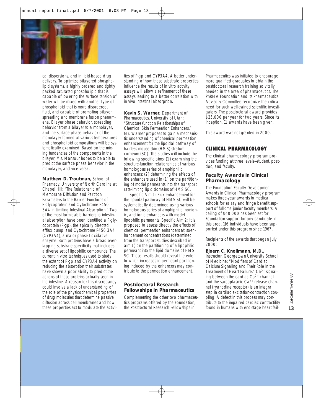

cal dispersions, and in lipid-based drug delivery. To optimize bilayered phospholipid systems, a highly ordered and tightly packed saturated phospholipid that is capable of lowering the surface tension of water will be mixed with another type of phospholipid that is more disordered, fluid, and capable of promoting bilayer spreading and membrane fusion phenomena. Bilayer phase behavior, spreading behavior from a bilayer to a monolayer, and the surface phase behavior of the monolayer formed at various temperatures and phospholipid compositions will be systematically examined. Based on the mixing tendencies of the components in the bilayer, Ms. Mansour hopes to be able to predict the surface phase behavior in the monolayer, and vice versa.

**Matthew D. Troutman,** School of Pharmacy, University of North Carolina at Chapel Hill: "The Relationship of Membrane Diffusion and Partition Parameters to the Barrier Functions of P-glycoprotein and Cytochrome P450 3A4 in Limiting Intestinal Absorption." Two of the most formidable barriers to intestinal absorption have been identified a P-glycoprotein (P-gp), the apically directed efflux pump, and Cytochrome P450 3A4 (CYP3A4), a major phase I oxidative enzyme. Both proteins have a broad overlapping substrate specificity that includes a diverse set of lipophilic compounds. The current *in vitro* techniques used to study the extent of P-gp and CYP3A4 activity on reducing the absorption their substrates have shown a poor ability to predict the actions of these proteins actually seen in the intestine. A reason for this discrepancy could involve a lack of understanding of the role of the physicochemical properties of drug molecules that determine passive diffusion across cell membranes and how these properties act to modulate the activities of P-gp and CYP3A4. A better understanding of how these substrate properties influence the results of *in vitro* activity assays will allow a refinement of these assays leading to a better correlation with *in vivo* intestinal absorprion.

**Kevin S. Warner,** Department of Pharmaceutics, University of Utah: "Structure-function Relationships of Chemical Skin Permeation Enhancers." Mr. Warner proposes to gain a mechanistic understanding of chemical permeation enhancement for the lipoidal pathway of hairless mouse skin (HMS) stratum corneum (SC). The studies will include the following specific aims: (1) examining the structure-function relationships of various homologous series of amphiphilic enhancers; (2) determining the effects of the enhancers used in (1) on the partitioning of model permeants into the transport rate-limiting lipid domains of HMS SC.

Specific Aim 1: Flux enhancement for the lipoidal pathway of HMS SC will be systematically determined using various homologous series of amphiphilic, nonionic, and ionic enhancers with model lipophilic permeants. Specific Aim 2: It is proposed to assess directly the effects of chemical permeation enhancers at isoenhancement concentrations (determined from the transport studies described in aim 1) on the partitioning of a lipophilic permeant into the lipid domains of HMS SC. These results should reveal the extent to which increases in permeant partitioning induced by the enhancers may contribute to the permeation enhancement.

# **Postdoctoral Research Fellowships in Pharmaceutics**

Complementing the other two pharmaceutics programs offered by the Foundation, the Postdoctoral Research Fellowships in

Pharmaceutics was initiated to encourage more qualified graduates to obtain the postdoctoral research training so vitally needed in the area of pharmaceutics. The PhRMA Foundation and its Pharmaceutics Advisory Committee recognize the critical need for such well-trained scientific investigators. The postdoctoral award provides \$25,000 per year for two years. Since its inception, 11 awards have been given.

*This award was not granted in 2000.*

# CLINICAL PHARMACOLOGY

The clinical pharmacology program provides funding at three levels—student, postdoc, and faculty.

# **Faculty Awards in Clinical Pharmacology**

The Foundation Faculty Development Awards in Clinical Pharmacology program makes three-year awards to medical schools for salary and fringe benefit support of full-time junior faculty members. A ceiling of \$40,000 has been set for Foundation support for any candidate in this area. 116 individuals have been supported under this program since 1967.

*Recipients of the awards that began July 2000:*

### **Bjoern C . Knollmann, M.D.,**

Instructor, Georgetown University School of Medicine: "Modifiers of Cardiac Calcium Signaling and Their Role in the Treatment of Heart Failure." Ca2+ signaling between the cardiac Ca2+ channel and the sarcoplasmic  $Ca<sup>2+</sup>$  release channel (ryanodine receptor) is an integral step in cardiac excitation-contraction coupling. A defect in this process may contribute to the impaired cardiac contractility found in humans with end-stage heart fail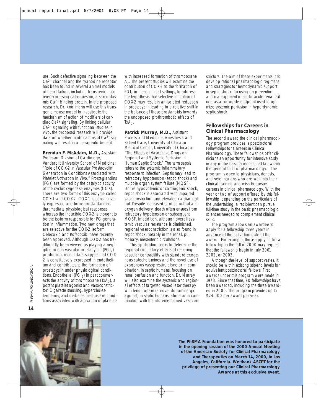ure. Such defective signaling between the Ca2+ channel and the ryanodine receptor has been found in several animal models of heart failure, including transgenic mice overexpressing calsequestrin, a sarcoplasmic Ca2+ binding protein. In the proposed research, Dr. Knollmann will use this transgenic mouse model to investigate the mechanism of action of modifiers of cardiac Ca2+ signaling. By linking cellular Ca2+ signaling with functional studies *in vivo*, the proposed research will provide data on whether modifications of Ca2+ signaling will result in a therapeutic benefit.

**Brendan F. McAdam, M.D.,** Assistant Professor, Division of Cardiology, Vanderbilt University School of Medicine: "Role of COX-2 in Vascular Prostacyclin Generation in Conditions Associated with Platelet Activation *In Vivo*." Prostaglandins (PGs) are formed by the catalytic activity of the cyclooxygenase enzymes (COX). There are two forms of this enzyme called COX-1 and COX-2: COX-1 is constitutively expressed and forms prostaglandins that mediate physiological responses whereas the inducible COX-2 is thought to be the isoform responsible for PG generation in inflammation. Two new drugs that are selective for the COX-2 isoform, Celecoxib and Rofecoxib, have recently been approved. Although COX-2 has traditionally been viewed as playing a negligible role in vascular prostacyclin  $(PGI<sub>2</sub>)$ production, recent data suggest that COX-2 is constitutively expressed in endothelium and contributes to the formation of prostacyclin under physiological conditions. Endothelial ( $PGI<sub>2</sub>$ ) in part counteracts the activity of thromboxane  $(TxA<sub>2</sub>)$ , a potent platelet agonist and vasoconstrictor. Cigarette smoking, hypercholesterolemia, and diabetes mellitus are conditions associated with activation of platelets with increased formation of thromboxane  $A<sub>2</sub>$ . The present studies will examine the contribution of COX-2 to the formation of PGI<sub>2</sub> in these clinical settings, to address the hypothesis that selective inhibition of COX-2 may result in an isolated reduction in prostacyclin leading to a relative shift in the balance of these prostanoids towards the unopposed prothrombotic effects of  $TxA<sub>2</sub>$ .

**Patrick Murray, M.D.,** Assistant Professor of Medicine, Anesthesia and Patient Care, University of Chicago Medical Center, University of Chicago: "The Effects of Vasoactive Drugs on Regional and Systemic Perfusion in Human Septic Shock." The term sepsis refers to the systemic inflammatory response to infection. Sepsis may lead to refractory hypotension (septic shock) and multiple organ system failure (MOSF). Unlike hypovolemic or cardiogenic shock, septic shock is associated with impaired vasoconstriction and elevated cardiac output. Despite increased cardiac output and oxygen delivery, death often ensues from refractory hypotension or subsequent MOSF. In addition, although overall systemic vascular resistance is diminished, regional vasoconstriction is also found in septic shock, notably in the renal, pulmonary, mesenteric circulations.

This application seeks to determine the regional circulatory effects of restoring vascular contractility with standard exogenous catecholamines and the novel use of exogenous vasopressin, alone or in combination, in septic humans, focusing on renal perfusion and function. Dr. Murray will also examine the systemic and regional effects of targeted vasodilator therapy with fenoldopam (a novel dopaminergic agonist) in septic humans, alone or in combination with the aforementioned vasoconstrictors. The aim of these experiments is to develop rational pharmacologic regimens and strategies for hemodynamic support in septic shock, focusing on prevention and management of septic acute renal failure, as a surrogate endpoint used to optimize systemic perfusion in hyperdynamic septic shock.

# **Fellowships for Careers in Clinical Pharmacology**

The second award the clinical pharmacology program provides is postdoctoral Fellowships for Careers in Clinical Pharmacology. These fellowships offer clinicians an opportunity for intensive study in any of the basic sciences that fall within the general field of pharmacology. The program is open to physicians, dentists, and veterinarians who are well into their clinical training and wish to pursue careers in clinical pharmacology. With the year or two of support offered by this fellowship, depending on the particulars of the undertaking, a recipient can pursue full-time study in the basic pharmacologic sciences needed to complement clinical skills.

The program allows an awardee to apply for a fellowship three years in advance of the activation date of the award. For example, those applying for a fellowship in the fall of 2000 may request that the fellowship begin in July 2001, 2002, or 2003.

Although the level of support varies, it should be within existing stipend levels for equivalent postdoctoral fellows. First awards under this program were made in 1973. Since that time, 70 fellowships have been awarded, including the three awarded in 2000. The program provides up to \$24,000 per award per year.



*The PhRMA Foundation was honored to participate in the opening session of the 2000 Annual Meeting of the American Society for Clinical Pharmacology and Therapeutics on March 14, 2000, in Los Angeles, California. We thank ASCPT for the privilege of presenting our Clinical Pharmacology Awards at this exclusive event.*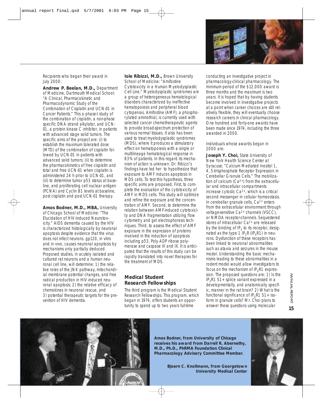

*Recipients who began their award in July 2000:*

**Andrew P. Beelan, M.D.,** Department of Medicine, Dartmouth Medical School: "A Clinical, Pharmacokinetic and Pharmacodynamic Study of the Combination of Cisplatin and UCN-01 in Cancer Patients." This a phase-I study of the combination of cisplatin, a non-phase specific DNA strand alkylator, and UCN-01, a protein kinase C inhibitor, in patients with advanced stage solid tumors. The specific aims of the project are: (i) to establish the maximum tolerated dose (MTD) of the combination of cisplatin followed by UCN-01 in patients with advanced solid tumors; (ii) to determine the pharmacokinetics of free cisplatin and total and free UCN-01 when cisplatin is administered 24 h prior to UCN-01, and (iii) to determine tumor p53 status at baseline, and proliferating cell nuclear antigen (PCNA) and Cyclin B1 levels at baseline, post cisplatin and post UCN-01 therapy.

**Amos Bodner, M.D., MBA,** University of Chicago School of Medicine: "The Elucidation of HIV-Induced Neurotoxicity." AIDS dementia caused by the HIV is characterized histologically by neuronal apoptosis despite evidence that the virus does not infect neurons. gp120, *in vitro* and *in vivo*, causes neuronal apoptosis by mechanisms only partially deduced. Proposed studies, in acutely isolated and cultured rat neurons and a human neuronal cell line, will determine: 1) the relative roles of the JNK pathway, mitochondrial membrane potential changes, and free radical production in HIV-induced neuronal apoptosis; 2) the relative efficacy of chemokines in neuronal rescue, and 3) potential therapeutic targets for the prevention of HIV dementia.

**Iole Ribizzi, M.D.,** Brown University School of Medicine: "Amifostine Cytotoxicity in a Human Myelodysplastic Cell Line." Myelodysplastic syndromes are a group of heterogeneous hematological disorders characterized by ineffective hematopoiesis and peripheral blood cytopenias. Amifostine (AMF), a phosphorylated aminothiol, is currently used with selected cancer chemotherapeutic agents to provide broad-spectrum protection of various normal tissues. It also has been used to treat myelodysplastic syndromes (MDS), where it produces a stimulatory effect on hematopoiesis with a single or multilineage hematological response in 83% of patients. In this regard its mechanism of action is unknown. Dr. Ribizzi's findings have led her to hypothesize that exposure to AMF induces apoptosis in MDS cells. To test this hypothesis, three specific aims are proposed. First, to complete the evaluation of the cytotoxicity of AMF in MDS cells. This study will optimize and refine the exposure and the concentration of AMF. Second, to determine the relation between AMF-induced cytotoxicity and DNA fragmentation utilizing flow cytometry and gel electrophoresis techniques. Third, to assess the effect of AMF exposure in the expression of proteins involved in the induction of apoptosis including p53, Poly ADP ribose polymerase and caspase III and IX. It is anticipated that the results of this study can be rapidly translated into novel therapies for the treatment of MDS.

# **Medical Student Research Fellowships**

The third program is the Medical Student Research Fellowships. This program, which began in 1974, offers students an opportunity to spend up to two years full-time

conducting an investigative project in pharmacology-clinical pharmacology. The minimum period of the \$12,000 award is three months and the maximum is two years. It is hoped that by having students become involved in investigative projects at a point when career choices are still relatively flexible, they will eventually choose research careers in clinical pharmacology. One hundred and forty-one awards have been made since 1974, including the three awarded in 2000.

#### *Individuals whose awards began in 2000 are:*

**Joseph Y. Choi, State University of** New York Health Science Center at Syracuse; "Calcium Mediated Inositol 1, 4, 5-trisphosphate Receptor Expression in Cerebellar Granule Cells." The mobilization of calcium (Ca<sup>2+</sup>) from the extracellular and intracellular compartments increase cytoslic Ca2+, which is a critical second messenger in cellular homeostasis. In cerebellar granule cells, Ca2+ enters from the extracellular environment through voltage-sensitive Ca2+ channels (VSCC), or NMDA receptor-channels. Sequestered stores of intracellular Ca2+ are released by the binding of  $IP_3$  to its receptor, designated as the type 1 IP<sub>3</sub>R (IP<sub>3</sub>R1) in neurons. Dysfunction of these receptors has been linked to neuronal abnormalities such as ataxia and seizures in the mouse model. Understanding the basic mechanisms leading to these abnormalities in a rodent model would allow investigators to focus on the mechanism of  $IP_3R1$  expression. The proposed questions are: 1) Is the  $IP_3R1 S1+$  splice variant expressed in a developmentally, and anatomically specific, manner in the rat brain? 2) What is the functional significance of  $IP_2R1 S1+$  isoform in granule cells? Mr. Choi plans to answer these questions using molecular



*Amos Bodner, from University of Chicago receives his award from Darrell R. Abernethy, M.D., Ph.D., PhRMA Foundation Clinical Pharmacology Advisory Committee Member.*

> *Bjoern C . Knollmann, from Georgetown University Medical Center*

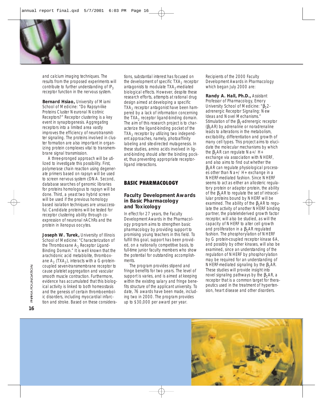

and calcium imaging techniques. The results from the proposed experiments will contribute to further understanding of  $IP<sub>3</sub>$ receptor function in the nervous system.

**Bernard Hsiao,** University of Miami School of Medicine: "Do Rapsyn-like Proteins Cluster Neuronal Nicotinic Receptors?" Receptor clustering is a key event in synaptogenesis. Aggregating receptors into a limited area vastly improves the efficiency of neurotransmitter signaling. The proteins involved in cluster formation are also important in organizing protein complexes vital to transmembrane signal transmission.

A three-pronged approach will be utilized to investigate this possibility. First, polymerase chain reaction using degenerate primers based on rapsyn will be used to screen nervous system cDNA. Second, database searches of genomic libraries for proteins homologous to rapsyn will be done. Third, a yeast two hybrid screen will be used if the previous homology based isolation techniques are unsuccessful. Candidate proteins will be tested for receptor clustering ability through coexpression of neuronal nAChRs and the protein in *Xenopus* oocytes.

**Joseph W. Turek,** University of Illinois School of Medicine: "Characterization of the Thromboxane  $A_2$  Receptor Ligand-Binding Domain." It is well known that the arachidonic acid metablolite, thromboxane  $A_2$  (TXA<sub>2</sub>), interacts with a G-proteincoupled seven-transmembrane receptor to cause platelet aggregation and vascular smooth muscle contraction. Furthermore, evidence has accumulated that this biological activity is linked to both homeostasis and the genesis of certain thromboembolic disorders, including myocardial infarction and stroke. Based on these considera-

tions, substantial interest has focused on the development of specific  $TXA<sub>2</sub>$  receptor antagonists to modulate  $TXA<sub>2</sub>$ -mediated biological effects. However, despite these research efforts, attempts at rational drug design aimed at developing a specific  $TXA<sub>2</sub>$  receptor antagonist have been hampered by a lack of information concerning the TXA<sub>2</sub> receptor ligand-binding domain. The aim of this research project is to characterize the ligand-binding pocket of the  $TXA<sub>2</sub>$  receptor by utilizing two independent approaches, namely, photoaffinity labeling and site-directed mutagenesis. In these studies, amino acids involved in ligand-binding should alter the binding pocket, thus preventing appropriate receptorligand interactions.

# **BASIC PHARMACOLOGY**

# **Faculty Development Awards in Basic Pharmacology and Toxicology**

In effect for 27 years, the Faculty Development Awards in the Pharmacology program aims to strengthen basic pharmacology by providing support to promising young teachers in this field. To fulfill this goal, support has been provided, on a nationally competitive basis, to full-time junior faculty members who show the potential for outstanding accomplishments.

The program provides stipend and fringe benefits for two years. The level of support is varies, and is aimed at keeping within the existing salary and fringe benefits structure of the applicant university. To date, 76 awards have been made, including two in 2000. The program provides up to \$30,000 per award per year.

*Recipients of the 2000 Faculty Development Awards in Pharmacology which began July 2000 are:*

**Randy A. Hall, Ph.D.,** Assistant Professor of Pharmacology, Emory University School of Medicine: "β<sub>2</sub>2adrenergic Receptor Signaling: New Ideas and Novel Mechanisms." Stimulation of the  $\beta_2$ -adrenergic receptor ( $β<sub>2</sub>AR$ ) by adrenaline or noradrenaline leads to alterations in the metabolism, excitability, differentiation and growth of many cell types. This project aims to elucidate the molecular mechanisms by which the  $β_2AR$  can regulate Na+/ H+ exchange via association with NHERF, and also aims to find out whether the  $\beta_2$ AR can regulate physiological processes other than Na+/ H+ exchange in a NHERF-mediated fashion. Since NHERF seems to act as either an allosteric regulatory protein or adaptor protein, the ability of the  $β_2AR$  to regulate the set of intracellular proteins bound by NHERF will be examined. The ability of the  $\beta_2AR$  to regulate the activity of another NHERF binding partner, the platelet-derived growth factor receptor, will also be studied, as will the capacity of NHERF to alter cell growth and proliferation in a  $β_2AR$  regulated fashion. The phosphorylation of NHERF by G protein-coupled receptor kinase 6A, and possibly by other kinases, will also be examined, since an understanding of the regulation of NHERF by phosphorylation may be required for an understanding of NHERF-mediated signaling by the  $β_2AR$ . These studies will provide insight into novel signaling pathways by the  $β_2AR$ , a receptor that is a common target for therapeutics used in the treatment of hypertension, heart disease and other disorders.



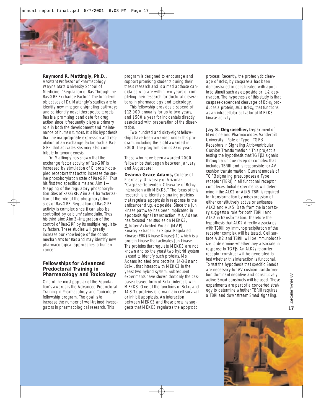

### **Raymond R. Mattingly, Ph.D.,**

Assistant Professor of Pharmacology, Wayne State University School of Medicine: "Regulation of Ras Through the Ras-GRF Exchange Factor." The long-term objectives of Dr. Mattingly's studies are to identify new mitogenic signaling pathways and so identify novel therapeutic targets. Ras is a promising candidate for drug action since it frequently plays a primary role in both the development and maintenance of human tumors. It is his hypothesis that the inappropriate expression and regulation of an exchange factor, such a Ras-GRF, that activates Ras may also contribute to tumorigenesis.

Dr. Mattingly has shown that the exchange factor activity of Ras-GRF is increased by stimulation of G protein-coupled receptors that act to increase the serine phosphorylation state of Ras-GRF. Thus his first two specific aims are: Aim 1— Mapping of the regulatory phosphorylation sites of Ras-GRF. Aim 2—Characterization of the role of the phosphorylation sites of Ras-GRF. Regulation of Ras-GRF activity is complex since it can also be controlled by calcium/calmodulin. Thus his third aim: Aim 3—Integration of the control of Ras-GRF by its multiple regulatory factors. These studies will greatly increase our knowledge of the control mechanisms for Ras and may identify new pharmacological approaches to human cancer.

# **Fellowships for Advanced Predoctoral Training in Pharmacology and Toxicology**

One of the most popular of the Foundation's awards is the Advanced Predoctoral Training in Pharmacology and Toxicology fellowship program. The goal is to increase the number of well-trained investigators in pharmacological research. This

program is designed to encourage and support promising students during their thesis research and is aimed at those candidates who are within two years of completing their research for doctoral disserations in pharmacology and toxicology.

This fellowship provides a stipend of \$12,000 annually for up to two years, and \$500 a year for incidentals directly associated with preparation of the dissertation.

Two hundred and sixty-eight fellowships have been awarded under this program, including the eight awarded in 2000. The program is in its 23rd year.

*Those who have been awarded 2000 fellowships that began between January and August are:*

**Deanna Grace Adams,** College of Pharmacy, University of Arizona: "Caspase-Dependent Cleavage of Bcl- $x_1$ : Interaction with MEKK3." The focus of this research is to identify signaling proteins that regulate apoptosis in response to the anticancer drug, etoposide. Since the Jun kinase pathway has been implicated in apoptosis signal transduction, Ms. Adams has focused her studies on MEKK3, Mitogen-Activated Protein (MAP) Kinase/Extracellular Signal-Regulated Kinase (ERK) Kinase Kinase)(1) which is a protein kinase that activates Jun kinase. The proteins that regulate MEKK3 are not known and so the yeast two hybrid system is used to identify such proteins. Ms. Adams isolated two proteins, 14-3-3ε and Bcl- $x_L$ , that interact with MEKK3 in the yeast two hybrid system. Subsequent experiments have shown that only the caspase-cleaved form of  $Bcl-x<sub>l</sub>$  interacts with MEKK3. One of the functions of Bcl- $x_1$  and 14-3-3ε proteins is to maintain cell survival or inhibit apoptosis. An interaction between MEKK3 and these proteins suggests that MEKK3 regulates the apoptotic

process. Recently, the proteolytic cleavage of Bcl- $x_1$  by caspase-3 has been demonstrated in cells treated with apoptotic stimuli such as etoposide or IL-2 deprivation. The hypothesis of this study is that caspase-dependent cleavage of Bcl-x<sub>L</sub> produces a protein,  $\Delta 61$  Bcl-x<sub>L</sub>, that functions as an intracellular activator of MEKK3 kinase activity.

**Jay S. Degrosellier,** Department of Medicine and Pharmacology, Vanderbilt University: "Role of Type I TGFβ Receptors in Signaling Atrioventricular Cushion Transformation." This project is testing the hypothesis that TGFβ2 signals through a unique receptor complex that includes TBRIII and is responsible for AV cushion transformation. Current models of TGFβ signaling presupposes a Type I receptor (TBRI) in all functional receptor complexes. Initial experiments will determine if the ALK2 or ALK5 TBRI is required for transformation by misexpression of either constitutively active or antisense ALK2 and ALK5. Data from the laboratory suggests a role for both TBRIII and ALK2 in transformation. Therefore the hypothesis that ALK2 directly associates with TBRIII by immunoprecipitation of the receptor complex will be tested. Cell surface ALK2 and TBRIII will be immunolocalize to determine whether they associate in response to TGFβ. An ALK2/re-porter receptor construct will be generated to test whether this interaction is functional. To test the hypothesis that specific Smads are necessary for AV cushion transformation dominant negative and constitutively active Smad constructs will be used. These experiments are part of a concerted strategy to determine whether TBRIII requires a TBRI and downstream Smad signaling.

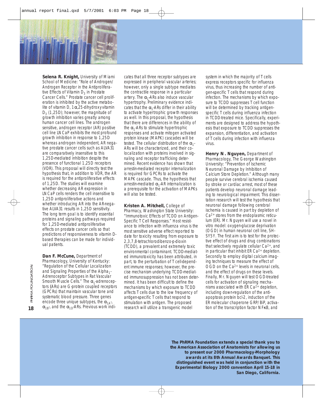

**Selena R. Knight,** University of Miami School of Medicine: "Role of Androgen/ Androgen Receptor in the Antiproliferative Effects of Vitamin  $D_3$  in Prostate Cancer Cells." Prostate cancer cell proliferation is inhibited by the active metabolite of vitamin D, 1α,25-dihydroxyvitamin  $D_3$  (1,25D); however, the magnitude of growth inhibition varies greatly among human cancer cell lines. The androgen sensitive, androgen receptor (AR) positive cell line LNCaP exhibits the most profound growth inhibition in response to 1,25D whereas androgen independent, AR negative prostate cancer cells such as ALVA31 are comparatively insensitive to this 1,25D-mediated inhibition despite the presence of functional 1,25D receptors (VDR). This proposal will directly test the hypothesis that, in addition to VDR, the AR is required for the antiproliferative effects of 1,25D. The studies will examine whether decreasing AR expression in LNCaP cells renders the cell insensitive to 1,25D antiproliferative actions and whether introducing AR into the AR-negative ALVA31 results in 1,25D sensitivity. The long term goal is to identify essential proteins and signaling pathways required for 1,25D-mediated antiproliferative effects on prostate cancer cells so that predictions of responsiveness to vitamin Dbased therapies can be made for individual patients.

**Dan F. McCune,** Department of Pharmacology, University of Kentucky: "Regulation of the Cellular Localization and Signaling Properties of the Alpha<sub>1</sub>-Adrenoceptor Subtypes in Rat Vascular Smooth Muscle Cells." The  $\alpha_1$ -adrenoceptors (ARs) are G-protein coupled receptors (GPCRs) that maintain vascular tone and systematic blood pressure. Three genes encode three unique subtypes, the  $\alpha_{1\Delta}$ ,  $\alpha_{1B}$ , and the  $\alpha_{1D}$ -ARs. Previous work indi-

cates that all three receptor subtypes are expressed in peripheral vascular arteries; however, only a single subtype mediates the contractile response in a particular artery. The  $\alpha_1$ -ARs also induce vascular hypertrophy. Preliminary evidence indicates that the  $\alpha_1$ -ARs differ in their ability to activate hypertrophic growth responses as well. In this proposal, the hypothesis that there are differences in the ability of the  $\alpha_1$ -ARs to stimulate hypertrophic responses and activate mitogen activated protein kinase (MAPK) cascades will be tested. The cellular distribution of the  $\alpha_1$ -ARs will be characterized, and their colocalization with proteins involved in signaling and receptor trafficking determined. Recent evidence has shown that arrestin-mediated receptor internalization is required for GPCRs to activate the MAPK cascade. Thus, the hypothesis that arrestin-mediated  $\alpha_1$ -AR internalization is a prerequisite for the activation of MAPKs will also be tested.

**Kristen A. Mitchell,** College of Pharmacy, Washington State University: "Immunotoxic Effects of TCDD on Antigen-Specific T Cell Responses." Host resistance to infection with influenza virus is the most sensitive adverse effect reported to date for toxicity resulting from exposure to 2,3,7,8-tetrachlorodibenzo-*p*-dioxin (TCDD), a prevalent and extremely toxic environmental contaminant. TCDD-mediated immunotoxicity has been attributed, in part, to the perturbation of T cell-dependent immune responses; however, the precise mechanism underlying TCDD-mediated immunosuppression has not been determined. It has been difficult to define the mechanisms by which exposure to TCDD affects T cells due to the low frequency of antigen-specific T cells that respond to stimulation with antigen. The proposed research will utilize a transgenic model

system in which the majority of T cells express receptors specific for influenza virus, thus increasing the number of antigen-specific T cells that respond during infection. The mechanisms by which exposure to TCDD suppresses T cell function will be determined by tracking antigenspecific T cells during influenza infection in TCDD-treated mice. Specifically, experiments are designed to address the hypothesis that exposure to TCDD suppresses the *expansion, differentiation*, and *activation* of T cells during infection with influenza virus.

**Henry N. Nguyen,** Department of Pharmacology, The George Washington University: "Prevention of Ischemic Neuronal Damage by Inhibition of Calcium Store Depletion." Although many people survive cerebral ischemia caused by stroke or cardiac arrest, most of these patients develop neuronal damage leading to neurological impairment. This dissertation research will test the hypothesis that neuronal damage following cerebral ischemia is caused in part by depletion of Ca2+ stores from the endoplasmic reticulum (ER). Mr. Nguyen will use a novel *in vitro* model: oxygen-glucose deprivation (OGD) in human neuronal cell line, SH-SY5Y. The first aim is to test for the protective effect of drugs and drug combinations that selectively regulate cellular Ca2+, and in particular that inhibit  $ER Ca<sup>2+</sup>$  depletion. Secondly to employ digital calcium imaging techniques to measure the effect of OGD on the Ca<sup>2+</sup> levels in neuronal cells, and the effect of drugs on these levels. Finally, Mr. Nguyen will test OGD-treated cells for activation of signaling mechanisms associated with ER Ca2+ depletion, including down-regulation of the antiapoptosis protein bcl-2, induction of the ER molecular chaperone GRP/BiP, activation of the transcription factor NFκB, and

*The PhRMA Foundation extends a special thank you to the American Association of Anatomists for allowing us to present our 2000 Pharmacology-Morphology awards at its 8th Annual Awards Banquet. This distinguished event was held in conjunction with the Experimental Biology 2000 convention April 15-18 in San Diego, California.*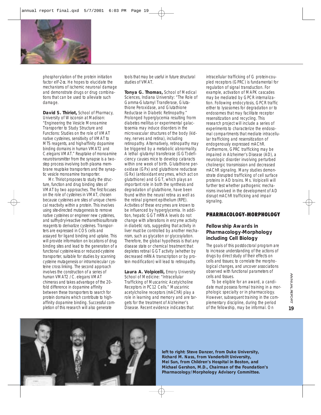

phosphorylation of the protein initiation factor eIF- $2\alpha$ . He hopes to elucidate the mechanisms of ischemic neuronal damage and demonstrate drugs or drug combinations that can be used to alleviate such damage.

**David S. Thiriot,** School of Pharmacy, University of Wisconsin at Madison: "Engineering the Vesicle Monoamine Transporter to Study Structure and Functions: Studies on the role of VMAT native cysteines, sensitivity of VMAT to MTS reagents, and high-affinity dopamine binding domains in human VMAT2 and *C.elegans* VMAT." Reuptake of monoamine neurotransmitter from the synapse is a twostep process involving both plasma membrane reuptake transporters and the synaptic vesicle monoamine transporter.

Mr. Thiriot proposes to study the structure, function and drug binding sites of VMAT by two approaches. The first focuses on the role of cysteines in VMAT, chosen because cysteines are sites of unique chemical reactivity within a protein. This involves using site-directed mutagenesis to remove native cysteines or engineer new cysteines, and sulfhydryl-reactive methanethiosulfonate reagents to derivatize cysteines. Transporters are expressed in COS cells and assayed for ligand binding and uptake. This will provide information on locations of drug binding sites and lead to the generation of a functional cysteine-less or reduced-cysteine transporter, suitable for studies by scanning cysteine mutagenesis or intramolecular cysteine cross linking. The second approach involves the construction of a series of human VMAT2 /*C. elegans* VMAT chimeras and takes advantage of the 20 fold difference in dopamine affinity between these transporters to search for protein domains which contribute to highaffinity dopamine binding. Successful completion of this research will also generate

tools that may be useful in future structural studies of VMAT.

**Tonya G. Thomas,** School of Medical Sciences, Indiana University: "The Role of Gamma-Glutamyl Transferase, Glutathione Peroxidase, and Glutathione Reductase in Diabetic Retinopathy." Prolonged hyperglycemia resulting frorm diabetes mellitus or experimental galactosemia may induce disorders in the microvascular structures of the body (kidney, nerves and retina), including retinopathy. Alternatively, retinopathy may be triggered by a metabolic abnormality. A lethal -glutamyl transferase (GGT)-deficiency causes mice to develop cataracts within one week of birth. Glutathione peroxidase (GPx) and glutathione reductase (GRx) (antioxidant enzymes, which act on glutathione) and GGT, which plays an important role in both the synthesis and degradation of glutathione, have been found within the neural retina as well as the retinal pigment epithelium (RPE). Activities of these enzymes are known to be influenced by hyperglycemia. In addition, hepatic GGT mRNA levels do not change with alterations in enzyme activity in diabetic rats, suggesting that activity in liver must be controlled by another mechanism, such as glycation or glycosylation. Therefore, the global hypothesis is that any disease state or chemical treatment that depletes retinal GGT activity (whether by decreased mRNA transcription or by protein modification) will lead to retinopathy.

**Laura A. Volpicelli,** Emory University School of Medicine: "Intracellular Trafficking of Muscarinic Acetylcholine Receptors in PC12 Cells." Muscarinic acetylcholine receptors (mAChR) play a role in learning and memory and are targets for the treatment of Alzheimer's Disease. Recent evidence indicates that

intracellular trafficking of G protein-coupled receptors (GPRC) is fundamental for regulation of signal transduction. For example, activation of MAPK cascades may be mediated by GPCR internalization. Following endocytosis, GPCR traffic either to lysosomes for degradation or to endosomes that may facilitate receptor resensitization and recycling. This research project will include a series of experiments to characterize the endosomal compartments that mediate intracellular trafficking and resensitization of endogenously expressed mAChR. Furthermore, GPRC trafficking may be impaired in Alzheimer's Disease (AD), a neurologic disorder involving perturbed cholinergic transmission and decreased mAChR signaling. Many studies demonstrate disrupted trafficking of cell surface proteins in AD brains. Ms. Volpicelli will further test whether pathogenic mechanisms involved in the development of AD disrupt mAChR trafficking and impair signaling.

# PHARMACOLOGY-MORPHOLOGY

# **Fellowship Awards in Pharmacology-Morphology including Cell Biology**

The goals of this postdoctoral program are to increase understanding of the actions of drugs by direct study of their effects on cells and tissues; to correlate the morphological changes, and uncover associations observed with functional parameters of cells and tissues.

To be eligible for an award, a candidate must possess formal training in a morphologic specialty or in pharmacology. However, subsequent training in the complementary discipline, during the period of the fellowship, may be informal. On



*left to right: Steve Danzer, from Duke University, Richard M. Nass, from Vanderbilt University, Mei Sun, from Children's Hospital in Boston, and Michael Gershon, M.D., Chairman of the Foundation's Pharmacology/Morphology Advisory Committee.*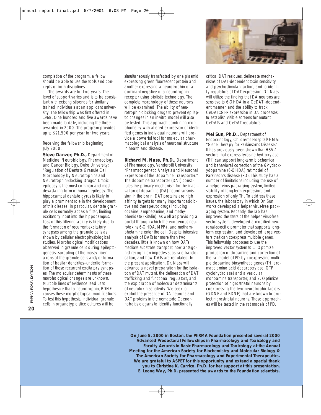

completion of the program, a fellow should be able to use the tools and concepts of both disciplines.

The awards are for two years. The level of support varies and is to be consistant with existing stipends for similarly trained individuals at an applicant university. The fellowship was first offered in 1968. One hundred and five awards have been made to date, including the three awarded in 2000. The program provides up to \$21,500 per year for two years.

#### *Receiving the fellowship beginning July 2000:*

**Steve Danzer, Ph.D.,** Department of Medicine, Neurobiology, Pharmacology and Cancer Biology, Duke University: "Regulation of Dentate Granule Cell Morphology by Neurotrophins and Neurotrophin-Blocking Drugs." Limbic epilepsy is the most common and most devastating form of human epilepsy. The hippocampal dentate gyrus is likely to play a prominent role in the development of this disease. In particular, dentate granule cells normally act as a filter, limiting excitatory input into the hippocampus. Loss of this filtering ability is likely due to the formation of recurrent excitatory synapses among the granule cells as shown by cellular electrophysiological studies. Morphological modifications observed in granule cells during epileptogenesis—sprouting of the mossy fiber axons of the granule cells and/or formation of basilar dendrites—underlie formation of these recurrent excitatory synapses. The molecular determinants of these morphological changes are unknown. Multiple lines of evidence lead us to hypothesize that a neurotrophin, BDNF, causes these morphological modifications. To test this hypothesis, individual granule cells in organotypic slice cultures will be

simultaneously transfected by one plasmid expressing green fluorescent protein and another expressing a neurotrophin or a dominant negative of a neurotrophin receptor using biolistic technology. The complete morphology of these neurons will be examined. The ability of neurotrophin-blocking drugs to prevent epileptic changes in an *in-vitro* model will also be tested. This approach combining morphometry with altered expression of identified genes in individual neurons will provide a powerful tool for molecular pharmacological analysis of neuronal structure in health and disease.

**Richard M. Nass, Ph.D.,** Department of Pharmacology, Vanderbilt University: "Pharmacogenetic Analysis and Neuronal Expression of the Dopamine Transporter." The dopamine transporter (DAT) constitutes the primary mechanism for the inactivation of dopamine (DA) neurotransmission in the brain. DAT proteins are high affinity targets for many important addictive and therapeutic drugs including cocaine, amphetamine, and methyphenidate (Ritalin), as well as providing a portal through which the exogenous neurotoxins 6-OHDA, MPP+, and methamphetamine enter the cell. Despite intensive analysis of DATs for more than two decades, little is known on how DATs mediate substrate transport, how antagonist recognition impedes substrate translocation, and how DATs are regulated. In the present application, Dr. Nass will advance a novel preparation for the isolation of DAT mutant, the delineation of DAT trafficking and functional regulators, and the exploration of molecular determinants of neurotoxin sensitivity. We seek to exploit the presence of DA neurons and DAT proteins in the nematode *Caenorhabditis elegans* to identify functionally

critical DAT residues, delineate mechanisms of DAT-dependent toxin sensitivity and psychostimulant action, and to identify regulators of DAT expression. Dr. Nass will utilize the finding that DA neurons are sensitive to 6-OHDA in a CeDAT –dependent manner, and the ability to track CeDAT::GFP expression in DA processes, to establish visible screens for mutant CeDATs and CeDAT regulators.

**Mei Sun, Ph.D.,** Department of Endocrinology, Children's Hospital/HMS: "Gene Therapy for Parkinson's Disease." It has previously been shown that HSV-1 vectors that express tyrosine hydroxylase (TH) can support long-term biochemical and behavioral correction of the 6-hydroxydopamine (6-OHDA) rat model of Parkinson's disease (PD). This study has a number of limitations including the use of a helper virus packaging system, limited stability of long-term expression, and expression of only TH. To address these issues, the laboratory in which Dr. Sun works developed a helper virus-free packaging system. Recently, the lab has improved the titers of the helper virus-free vector system, developed a modified neuronal-specific promoter that supports longterm expression, and developed large vectors that can coexpress multiple genes. This fellowship proposes to use the improved vector system to 1. Optimize production of dopamine and correction of the rat model of PD by coexpressing multiple dopamine biosynthetic genes (TH, aromatic amino acid decarboxylase, GTP cyclohydrolase) and a vesicular monoamine transporter; and 2. Optimize protection of nigrostriatal neurons by coexpressing the two neurotrophic factors (GDNF and BDNF) that are known to protect nigrostriatal neurons. These approaches will be tested in the rat models of PD.

*On June 5, 2000 in Boston, the PhRMA Foundation presented several 2000 Advanced Predoctoral Fellowships in Pharmacology and Toxicology and Faculty Awards in Basic Pharmacology and Toxicology at the Annual Meeting for the American Society for Biochemistry and Molecular Biology & The American Society for Pharmacology and Experimental Therapeutics. We are grateful to ASPET for this opportunity and extend a special thank you to Christine K. Carrico, Ph.D. for her support at this presentation. E. Leong Way, Ph.D. presented the awards to the Foundation scientists.*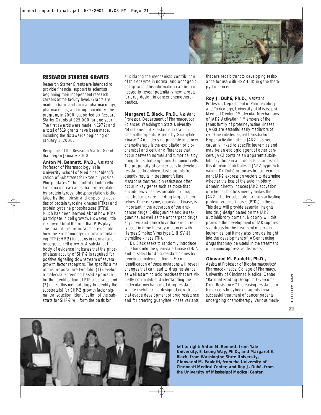

# **RESEARCH STARTER GRANTS**

Research Starter Grants are intended to provide financial support to scientists beginning their independent research careers at the faculty level. Grants are made in basic and clinical pharmacology, pharmaceutics, and drug toxicology. The program, in 2000, supported six Research Starter Grants at \$25,000 for one year. The first awards were made in 1972; and a total of 519 grants have been made, including the six awards beginning on January 1, 2000.

#### *Recipients of the Research Starter Grant that began January 2000:*

**Anton M. Bennett, Ph.D.,** Assistant Professor of Pharmacology, Yale University School of Medicine: "Identification of Substrates for Protein Tyrosine Phosphatases." The control of intracellular signaling cascades that are regulated by protein tyrosyl phosphorylation is dictated by the intrinsic and opposing activities of protein tyrosine kinases (PTKs) and protein tyrosine phosphatases (PTPs). Much has been learned about how PTKs participate in cell growth. However, little is known about the role that PTPs play. The goal of this proposal is to elucidate how the Src homology 2 domain-containing PTP (SHP-2) functions in normal and oncogenic cell growth. A substantial body of evidence indicates that the phosphatase activity of SHP-2 is required for positive signaling downstream of several growth factor receptors. The specific aims of this proposal are two-fold: (1) develop a molecular-screening based approach for the identification of PTP substrates and (2) utilize this methodology to identify the substrate(s) for SHP-2 growth factor signal transduction. Identification of the substrate for SHP-2 will form the basis for

elucidating the mechanistic contribution of this enzyme in normal and oncogenic cell growth. This information can be harnessed to reveal potentially new targets for drug design in cancer chemotherapeutics.

**Margaret E. Black, Ph.D.,** Assistant Professor, Department of Pharmaceutical Sciences, Washington State University: "Mechanism of Resistance to Cancer Chemotherapeutic Agents by Guanylate Kinase." An underlying principle in cancer chemotherapy is the exploitation of biochemical and cellular differences that occur between normal and tumor cells by using drugs that target and kill tumor cells. The propensity of cancer cells to develop resistance to antineoplastic agents frequently results in treatment failure. Mutations that result in resistance often occur in key genes such as those that encode enzymes responsible for drug metabolism or are the drug targets themselves. One enzyme, guanylate kinase, is important in the activation of the anticancer drugs, 6-thioguanine and 8-azaguanine, as well as the antiherpetic drugs, acyclovir and ganciclovir that are currently used in gene therapy of cancer with Herpes Simplex Virus type 1 (HSV-1) thymidine kinase (TK).

Dr. Black seeks to randomly introduce mutations into the guanylate kinase cDNA and to select for drug resistant clones by genetic complementation in *E. coli.* Identification of these mutations will reveal changes that can lead to drug resistance as well as amino acid residues that are virtually non-mutable. Understanding the molecular mechanism of drug resistance will be useful for the design of new drugs that evade development of drug resistance and for creating guanylate kinase variants

that are recalcitrant to developing resistance for use with HSV-1 TK in gene therapy for cancer.

**Roy J. Duhé, Ph.D.,** Assistant Professor, Department of Pharmacology and Toxicology, University of Mississippi Medical Center: "Molecular Mechanisms of JAK2 Activation." Members of the Janus family of protein-tyrosine kinases (JAKs) are essential early mediators of cytokine-initiated signal transduction. Hyper-activation of the JAK2 has been causally linked to specific leukemias and may be an etiologic agent of other cancers. JAK2 contains an apparent autoinhibitory domain and defects in, or loss of, this domain contributes to JAK2 hyperactivation. Dr. Duhé proposes to use recombinant JAK2 expression vectors to determine whether the loss of the autoinhibitory domain directly induces JAK2 activation or whether this loss merely makes the JAK2 a better substrate for trans-activating protein tyrosine kinases (PTKs) in the cell. This data will provide essential insights into drug design based on the JAK2 autoinhibitory domain. Not only will this promote the development of JAK-suppressive drugs for the treatment of certain leukemias, but it may also provide insight into the development of JAK-enhancing drugs that may be useful in the treatment of immunosuppressive disorders.

### **Giovanni M. Pauletti, Ph.D.,**

Assistant Professor of Biopharmaceutics/ Pharmacokinetics, College of Pharmacy, University of Cincinnati Medical Center: "Rational Prodrug Design to Overcome Drug Resistance." Increasing resistance of tumor cells to cytotoxic agents impairs successful treatment of cancer patients undergoing chemotherapy. Various mech-



*left to right: Anton M. Bennett, from Yale University, E. Leong Way, Ph.D., and Margaret E. Black, from Washington State University, Gionvanni M. Pauletti, from the University of Cincinnati Medical Center, and Roy J. Duhé, from the University of Mississippi Medical Center.*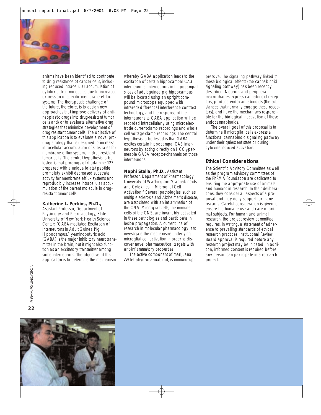

anisms have been identified to contribute to drug resistance of cancer cells, including reduced intracellular accumulation of cytotoxic drug molecules due to increased expression of specific membrane efflux systems. The therapeutic challenge of the future, therefore, is to design new approaches that improve delivery of antineoplastic drugs into drug-resistant tumor cells and/or to evaluate alternative drug strategies that minimize development of drug-resistant tumor cells. The objective of this application is to evaluate a novel prodrug strategy that is designed to increase intracellular accumulation of substrates for membrane efflux systems in drug-resistant tumor cells. The central hypothesis to be tested is that prodrugs of rhodamine 123 prepared with a unique folate/peptide promoiety exhibit decreased substrate activity for membrane efflux systems and reproducibly increase intracellular accumulation of the parent molecule in drugresistant tumor cells.

#### **Katherine L. Perkins, Ph.D.,**

Assistant Professor, Department of Physiology and Pharmacology, State University of New York Health Science Center: "GABA-mediated Excitation of Interneurons in Adult Guinea Pig Hippocampus." *y*-aminobutyric acid (GABA) is the major inhibitory neurotransmitter in the brain, but it might also function as an excitatory transmitter among some interneurons. The objective of this application is to determine the mechanism

whereby GABA application leads to the excitation of certain hippocampal CA3 interneurons. Interneurons in hippocampal slices of adult guinea pig hippocampus will be located using an upright compound microscope equipped with infrared/differential interference contrast technology, and the response of the interneurons to GABA application will be recorded intracellularly using microelectrode current-clamp recordings and whole cell voltage-clamp recordings. The central hypothesis to be tested is that GABA excites certain hippocampal CA3 interneurons by acting directly on  $HCO<sub>3</sub>$ -permeable GABA receptor-channels on those interneurons.

**Nephi Stella, Ph.D.,** Assistant Professor, Department of Pharmacology, University of Washington: "Cannabinoids and Cytokines in Microglial Cell Activation." Several pathologies, such as multiple sclerosis and Alzheimer's disease, are associated with an inflammation of the CNS. Microglial cells, the immune cells of the CNS, are invariably activated in these pathologies and participate in lesion propagation. A current line of research in molecular pharmacology is to investigate the mechanisms underlying microglial cell activation in order to discover novel pharmaceutical targets with anti-inflammatory properties.

The active component of marijuana, ∆9-tetrahydrocannabinol, is immunosuppressive. The signaling pathway linked to these biological effects (the cannabinoid signaling pathway) has been recently described. Neurons and peripheral macrophages express cannabinoid receptors, produce endocannabinoids (the substances that normally engage these receptors), and have the mechanisms responsible for the biological inactivation of these endocannabinoids.

The overall goal of this proposal is to determine if microglial cells express a functional cannabinoid signaling pathway under their quiescent state or during cytokine-induced activation.

# **Ethical Considerations**

The Scientific Advisory Committee as well as the program advisory committees of the PhRMA Foundation are dedicated to ensuring the appropriate use of animals and humans in research. In their deliberations, they consider all aspects of a proposal and may deny support for many reasons. Careful consideration is given to ensure the humane use and care of animal subjects. For human and animal research, the project review committee requires, in writing, a statement of adherence to prevailing standards of ethical research practices. Institutional Review Board approval is required before any research project may be initiated. In addition, informed consent is required before any person can participate in a research project.

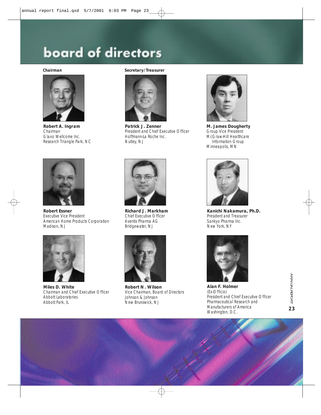# board of directors



**Robert A. Ingram** Chairman Glaxo Wellcome Inc. Research Triangle Park, NC



**Robert Essner** Executive Vice President American Home Products Corporation Madison, NJ



**Miles D. White** Chairman and Chief Executive Officer Abbott Laboratories Abbott Park, IL

#### *Chairman Secretary/Treasurer*



**Patrick J. Zenner** President and Chief Executive Officer Hoffmann-La Roche Inc. Nutley, NJ



**Richard J. Markham** Chief Executive Officer Aventis Pharma AG Bridgewater, NJ



**Robert N . Wilson** Vice Chairman, Board of Directors Johnson & Johnson New Brunswick, NJ



**M. James Dougherty** Group Vice President McGraw-Hill Healthcare Information Group Minneapolis, MN



**Kanichi Nakamura, Ph.D.** President and Treasurer Sankyo Pharma Inc. New York, NY



**Alan F. Holmer**  (*Ex-Officio*) President and Chief Executive Officer Pharmaceutical Research and Manufacturers of America Washington, D.C.

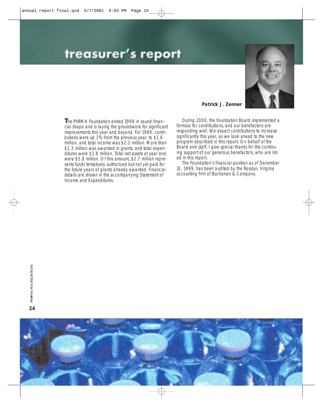# treasurer's report



**T**he PhRMA Foundation ended 1999 in sound financial shape and is laying the groundwork for significant improvements this year and beyond. For 1999, contributions were up 3% from the previous year, to \$1.6 million, and total income was \$2.3 million. More than \$1.3 million was awarded in grants, and total expenditures were \$1.8 million. Total net assets at year end were \$5.9 million. Of this amount, \$2.7 million represents funds tentatively authorized but not yet paid for the future years of grants already awarded. Financial details are shown in the accompanying Statement of Income and Expenditures.

# **Patrick J. Zenner**

During 2000, the Foundation Board implemented a formula for contributions, and our benefactors are responding well. We expect contributions to increase significantly this year, as we look ahead to the new program described in this report. On behalf of the Board and staff, I give special thanks for the continuing support of our generous benefactors, who are listed in this report.

The Foundation's financial position as of December 31, 1999, has been audited by the Rosslyn, Virginia accounting firm of Buchanan & Company.

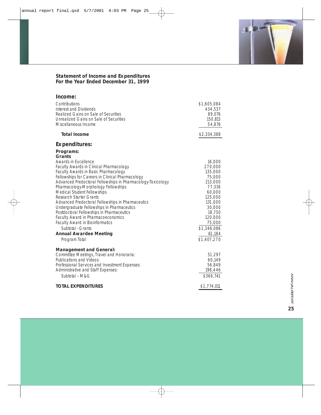# **Statement of Income and Expenditures For the Year Ended December 31, 1999**

| Income:                                                                                                                                                                                                                                                                                                                                                                                                                                                                                                                                                                                                                                                                               |                                                                                                                                                                              |
|---------------------------------------------------------------------------------------------------------------------------------------------------------------------------------------------------------------------------------------------------------------------------------------------------------------------------------------------------------------------------------------------------------------------------------------------------------------------------------------------------------------------------------------------------------------------------------------------------------------------------------------------------------------------------------------|------------------------------------------------------------------------------------------------------------------------------------------------------------------------------|
| Contributions<br>Interest and Dividends<br>Realized Gains on Sale of Securities<br>Unrealized Gains on Sale of Securities<br>Miscellaneous Income                                                                                                                                                                                                                                                                                                                                                                                                                                                                                                                                     | \$1,605,084<br>434,537<br>89,076<br>150,815<br>54,876                                                                                                                        |
| <b>Total Income</b>                                                                                                                                                                                                                                                                                                                                                                                                                                                                                                                                                                                                                                                                   | \$2,334,388                                                                                                                                                                  |
| <b>Expenditures:</b>                                                                                                                                                                                                                                                                                                                                                                                                                                                                                                                                                                                                                                                                  |                                                                                                                                                                              |
| Programs:<br>Grants<br><b>Awards in Excellence</b><br>Faculty Awards in Clinical Pharmacology<br><b>Faculty Awards in Basic Pharmacology</b><br>Fellowships for Careers in Clinical Pharmacology<br>Advanced Predoctoral Fellowships in Pharmacology-Toxicology<br>Pharmacology-Morphology Fellowships<br><b>Medical Student Fellowships</b><br><b>Research Starter Grants</b><br>Advanced Predoctoral Fellowships in Pharmaceutics<br>Undergraduate Fellowships in Pharmaceutics<br>Postdoctoral Fellowships in Pharmaceutics<br>Faculty Award in Pharmacoeconomics<br><b>Faculty Award in Bioinformatics</b><br>Subtotal - Grants<br><b>Annual Awardee Meeting</b><br>Program Total | 16,000<br>270,000<br>135,000<br>75,000<br>213,000<br>77,336<br>60,000<br>125,000<br>131,000<br>30,000<br>18,750<br>120,000<br>75,000<br>\$1,346,086<br>61,184<br>\$1,407,270 |
| <b>Management and General:</b><br>Committee Meetings, Travel and Honoraria:<br>Publications and Videos:<br>Professional Services and Investment Expenses:<br>Administrative and Staff Expenses:<br>Subtotal - M&G                                                                                                                                                                                                                                                                                                                                                                                                                                                                     | 51,297<br>60,149<br>56,849<br>198,446<br>\$366,741                                                                                                                           |
| <b>TOTAL EXPENDITURES</b>                                                                                                                                                                                                                                                                                                                                                                                                                                                                                                                                                                                                                                                             | \$1,774,011                                                                                                                                                                  |

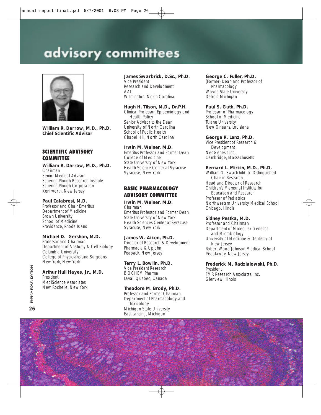# advisory committees



**William R. Darrow, M.D., Ph.D. Chief Scientific Advisor**

# SCIENTIFIC ADVISORY <u>COMMITTEE</u>

**William R. Darrow, M.D., Ph.D.** *Chairman*

Senior Medical Advisor Schering-Plough Research Institute Schering-Plough Corporation Kenilworth, New Jersey

# **Paul Calabresi, M.D.**

Professor and Chair Emeritus Department of Medicine Brown University School of Medicine Providence, Rhode Island

# **Michael D. Gershon, M.D.**

Professor and Chairman Department of Anatomy & Cell Biology Columbia University College of Physicians and Surgeons New York, New York

#### **Arthur Hull Hayes, Jr., M.D.** President

MediScience Associates New Rochelle, New York

### **James Swarbrick, D.Sc., Ph.D.**

Vice President Research and Development AAI Wilmington, North Carolina

#### **Hugh H. Tilson, M.D., Dr.P.H.**

Clinical Professor, Epidemiology and Health Policy Senior Advisor to the Dean University of North Carolina School of Public Health Chapel Hill, North Carolina

#### **Irwin M. Weiner, M.D.**

Emeritus Professor and Former Dean College of Medicine State University of New York Health Science Center at Syracuse Syracuse, New York

# **BASIC PHARMACOLOGY ADVISORY COMMITTEE**

### **Irwin M. Weiner, M.D.** *Chairman*

Emeritus Professor and Former Dean State University of New York Health Sciences Center at Syracuse Syracuse, New York

# **James W. Aiken, Ph.D.**

Director of Research & Development Pharmacia & Upjohn Peapack, New Jersey

# **Terry L. Bowlin, Ph.D.**

Vice President Research BIOCHEM Pharma

# Laval, Quebec, Canada

**Theodore M. Brody, Ph.D.** Professor and Former Chairman Department of Pharmacology and Toxicology Michigan State University East Lansing, Michigan

#### **George C . Fuller, Ph.D.**

(Former) Dean and Professor of Pharmacology Wayne State University Detroit, Michigan

### **Paul S. Guth, Ph.D.**

Professor of Pharmacology School of Medicine Tulane University New Orleans, Louisiana

#### **George R. Lenz, Ph.D.**

Vice President of Research & Development NeoGenesis Inc. Cambridge, Massachusetts

#### **Bernard L. Mirkin, M.D., Ph.D.**

William G. Swartchild, Jr. Distinguished Chair in Research Head and Director of Research Children's Memorial Institute for Education and Research Professor of Pediatrics Northwestern University Medical School Chicago, Illinois

#### **Sidney Pestka, M.D.**

Professor and Chairman Department of Molecular Genetics and Microbiology University of Medicine & Dentistry of New Jersey Robert Wood Johnson Medical School Piscataway, New Jersey

#### **Frederick M. Radzialowski, Ph.D.** President

FMR Research Associates, Inc. Glenview, Illinois

**26**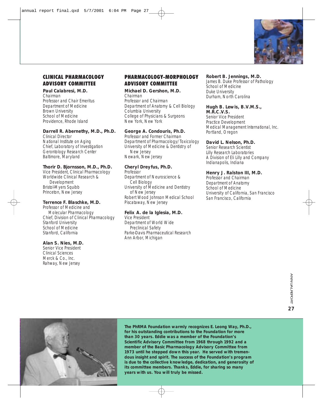

# CLINICAL PHARMACOLOGY ADVISORY COMMITTEE

# **Paul Calabresi, M.D.**

*Chairman* Professor and Chair Emeritus Department of Medicine Brown University School of Medicine Providence, Rhode Island

#### **Darrell R. Abernethy, M.D., Ph.D.**

Clinical Director National Institute on Aging Chief, Laboratory of Investigation Gerontology Research Center Baltimore, Maryland

### **Thorir D. Bjornsson, M.D., Ph.D.**

Vice President, Clinical Pharmacology Worldwide Clinical Research & Development Bristol-Myers Squibb Princeton, New Jersey

### **Terrence F. Blaschke, M.D.**

Professor of Medicine and Molecular Pharmacology Chief, Division of Clinical Pharmacology Stanford University School of Medicine Stanford, California

### **Alan S. Nies, M.D.**

Senior Vice President Clinical Sciences Merck & Co., Inc. Rahway, New Jersey

# PHARMACOLOGY-MORPHOLOGY ADVISORY COMMITTEE

**Michael D. Gershon, M.D.**  *Chairman* Professor and Chairman Department of Anatomy & Cell Biology Columbia University College of Physicians & Surgeons New York, New York

# **George A. Condouris, Ph.D.**

Professor and Former Chairman Department of Pharmacology/Toxicology University of Medicine & Dentistry of New Jersey Newark, New Jersey

# **Cheryl Dreyfus, Ph.D.**

Professor Department of Neuroscience & Cell Biology University of Medicine and Dentistry of New Jersey Robert Wood Johnson Medical School Piscataway, New Jersey

# **Felix A. de la Iglesia, M.D.**

Vice President Department of World Wide Preclinical Safety Parke-Davis Pharmaceutical Research Ann Arbor, Michigan

# **Robert B. Jennings, M.D.**

James B. Duke Professor of Pathology School of Medicine Duke University Durham, North Carolina

#### **Hugh B. Lewis, B.V.M.S., M.R.C .V.S.**

Senior Vice President Practice Development Medical Management International, Inc. Portland, Oregon

# **David L. Nelson, Ph.D.**

Senior Research Scientist Lilly Research Laboratories A Division of Eli Lilly and Company Indianapolis, Indiana

# **Henry J. Ralston III, M.D.**

Professor and Chairman Department of Anatomy School of Medicine University of California, San Francisco San Francisco, California



*The PhRMA Foundation warmly recognizes E. Leong Way, Ph.D., for his outstanding contributions to the Foundation for more than 30 years. Eddie was a member of the Foundation's Scientific Advisory Committee from 1968 through 1992 and a member of the Basic Pharmacology Advisory Committee from 1973 until he stepped down this year. He served with tremendous insight and spirit. The success of the Foundation's program is due to the collective knowledge, dedication, and generosity of its committee members. Thanks, Eddie, for sharing so many years with us. You will truly be missed.*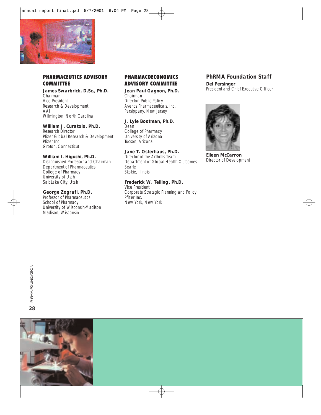

# **PHARMACEUTICS ADVISORY COMMITTEE**

**James Swarbrick, D.Sc., Ph.D.** Chairman Vice President Research & Development AAI Wilmington, North Carolina

### **William J. Curatolo, Ph.D.**

Research Director Pfizer Global Research & Development Pfizer Inc. Groton, Connecticut

#### **William I. Higuchi, Ph.D.**

Distinguished Professor and Chairman Department of Pharmaceutics College of Pharmacy University of Utah Salt Lake City, Utah

### **George Zografi, Ph.D.**

Professor of Pharmaceutics School of Pharmacy University of Wisconsin-Madison Madison, Wisconsin

# PHARMACOECONOMICS ADVISORY COMMITTEE

**Jean Paul Gagnon, Ph.D.** *Chairman* Director, Public Policy Aventis Pharmaceuticals, Inc. Parsippany, New Jersey

# **J. Lyle Bootman, Ph.D.**

Dean College of Pharmacy University of Arizona Tucson, Arizona

# **Jane T. Osterhaus, Ph.D.**

Director of the Arthritis Team Department of Global Health Outcomes **Searle** Skokie, Illinois

# **Frederick W. Telling, Ph.D.**

Vice President Corporate Strategic Planning and Policy Pfizer Inc. New York, New York

# **PhRMA Foundation Staff**

**Del Persinger** President and Chief Executive Officer



**Eileen McCarron** Director of Development

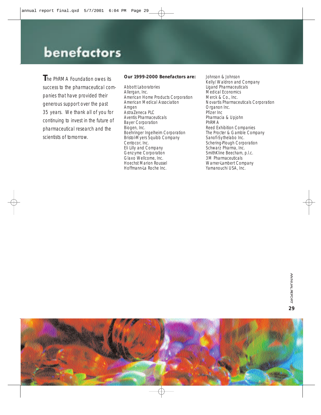# benefactors

**T**he PhRMA Foundation owes its success to the pharmaceutical companies that have provided their generous support over the past 35 years. We thank all of you for continuing to invest in the future of pharmaceutical research and the scientists of tomorrow.

### **Our 1999-2000 Benefactors are:**

Abbott Laboratories Allergan, Inc. American Home Products Corporation American Medical Association Amgen AstraZeneca PLC Aventis Pharmaceuticals Bayer Corporation Biogen, Inc. Boehringer Ingelheim Corporation Bristol-Myers Squibb Company Centocor, Inc. Eli Lilly and Company Genzyme Corporation Glaxo Wellcome, Inc. Hoechst Marion Roussel Hoffmann-La Roche Inc.

Johnson & Johnson Kelly/Waldron and Company Ligand Pharmaceuticals Medical Economics Merck & Co., Inc. Novartis Pharmaceuticals Corporation Organon Inc. Pfizer Inc Pharmacia & Upjohn PhRMA Reed Exhibition Companies The Procter & Gamble Company Sanofi-Sythelabo Inc. Schering-Plough Corporation Schwarz Pharma, Inc. SmithKline Beecham, p.l.c. 3M Pharmaceuticals Warner-Lambert Company Yamanouchi USA, Inc.